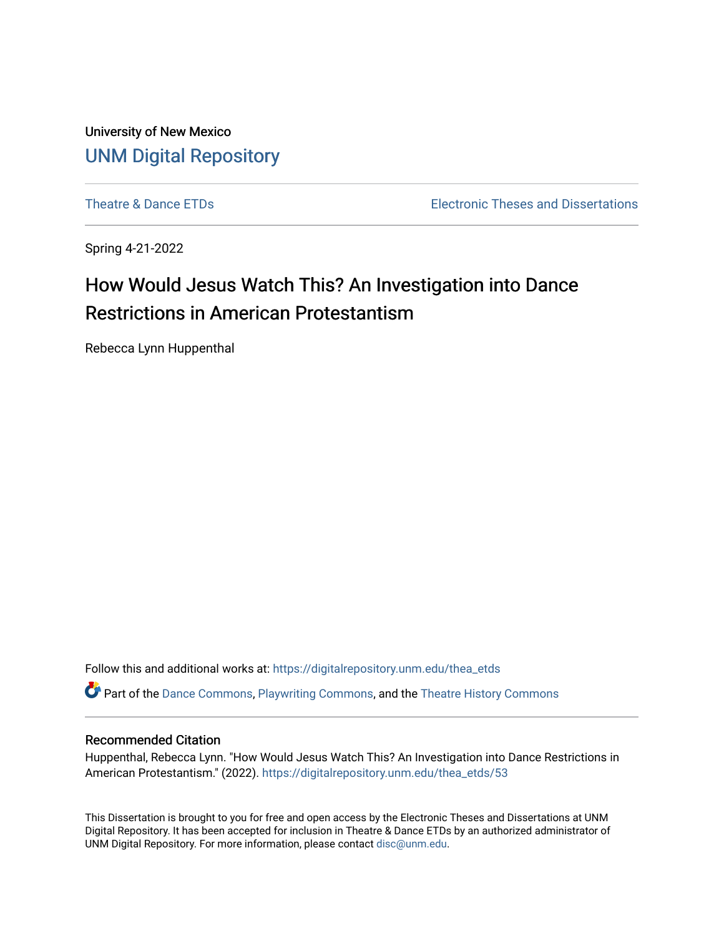University of New Mexico [UNM Digital Repository](https://digitalrepository.unm.edu/) 

[Theatre & Dance ETDs](https://digitalrepository.unm.edu/thea_etds) [Electronic Theses and Dissertations](https://digitalrepository.unm.edu/etds) 

Spring 4-21-2022

# How Would Jesus Watch This? An Investigation into Dance Restrictions in American Protestantism

Rebecca Lynn Huppenthal

Follow this and additional works at: [https://digitalrepository.unm.edu/thea\\_etds](https://digitalrepository.unm.edu/thea_etds?utm_source=digitalrepository.unm.edu%2Fthea_etds%2F53&utm_medium=PDF&utm_campaign=PDFCoverPages) 

Part of the [Dance Commons,](https://network.bepress.com/hgg/discipline/554?utm_source=digitalrepository.unm.edu%2Fthea_etds%2F53&utm_medium=PDF&utm_campaign=PDFCoverPages) [Playwriting Commons,](https://network.bepress.com/hgg/discipline/557?utm_source=digitalrepository.unm.edu%2Fthea_etds%2F53&utm_medium=PDF&utm_campaign=PDFCoverPages) and the [Theatre History Commons](https://network.bepress.com/hgg/discipline/553?utm_source=digitalrepository.unm.edu%2Fthea_etds%2F53&utm_medium=PDF&utm_campaign=PDFCoverPages) 

# Recommended Citation

Huppenthal, Rebecca Lynn. "How Would Jesus Watch This? An Investigation into Dance Restrictions in American Protestantism." (2022). [https://digitalrepository.unm.edu/thea\\_etds/53](https://digitalrepository.unm.edu/thea_etds/53?utm_source=digitalrepository.unm.edu%2Fthea_etds%2F53&utm_medium=PDF&utm_campaign=PDFCoverPages) 

This Dissertation is brought to you for free and open access by the Electronic Theses and Dissertations at UNM Digital Repository. It has been accepted for inclusion in Theatre & Dance ETDs by an authorized administrator of UNM Digital Repository. For more information, please contact [disc@unm.edu](mailto:disc@unm.edu).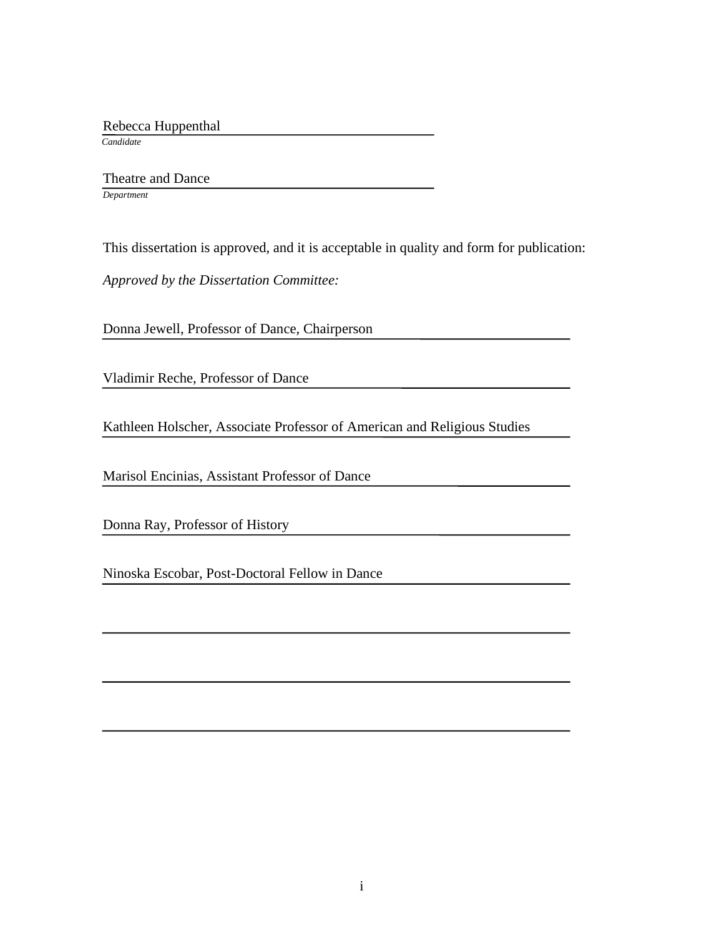Rebecca Huppenthal

 *Candidate*

 Theatre and Dance *Department*

This dissertation is approved, and it is acceptable in quality and form for publication:

*Approved by the Dissertation Committee:*

Donna Jewell, Professor of Dance, Chairperson

Vladimir Reche, Professor of Dance

Kathleen Holscher, Associate Professor of American and Religious Studies

Marisol Encinias, Assistant Professor of Dance

Donna Ray, Professor of History

Ninoska Escobar, Post-Doctoral Fellow in Dance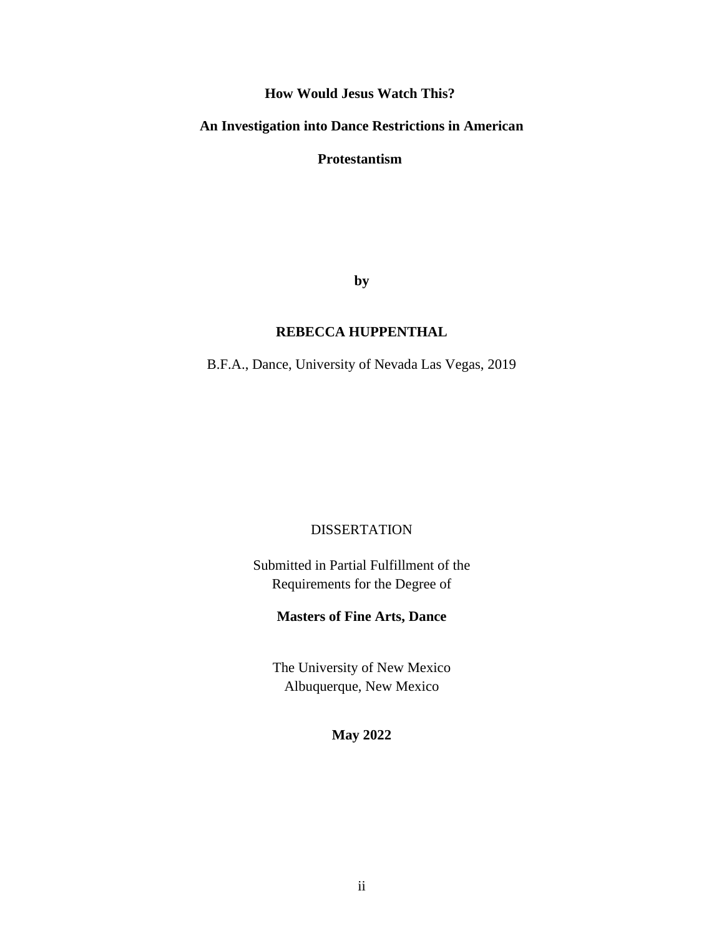**How Would Jesus Watch This?**

# **An Investigation into Dance Restrictions in American**

**Protestantism**

**by**

# **REBECCA HUPPENTHAL**

B.F.A., Dance, University of Nevada Las Vegas, 2019

# DISSERTATION

Submitted in Partial Fulfillment of the Requirements for the Degree of

# **Masters of Fine Arts, Dance**

The University of New Mexico Albuquerque, New Mexico

# **May 2022**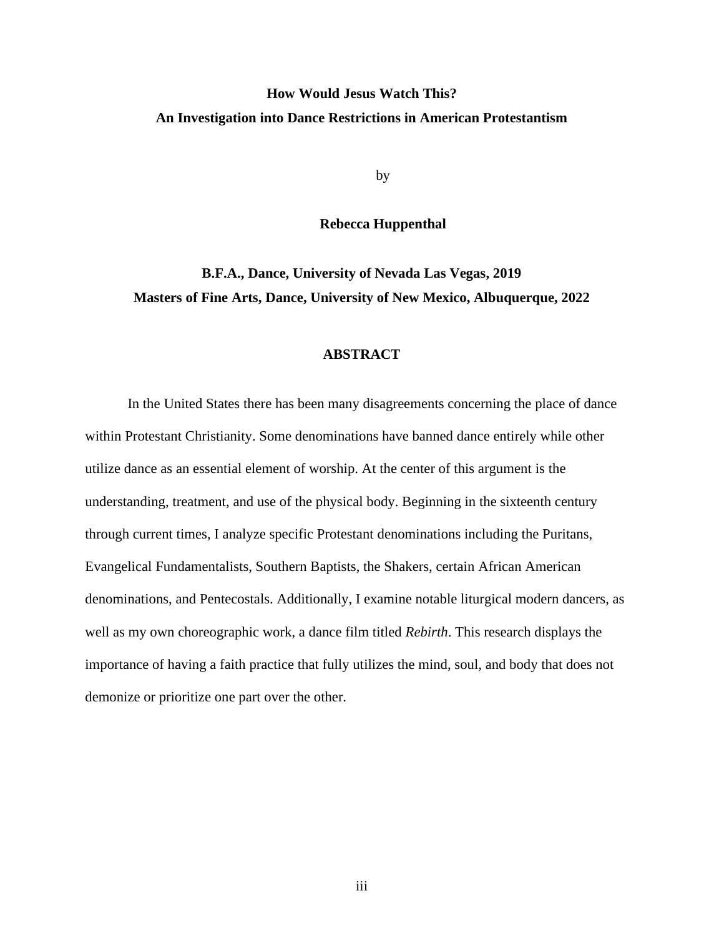# **How Would Jesus Watch This? An Investigation into Dance Restrictions in American Protestantism**

by

# **Rebecca Huppenthal**

**B.F.A., Dance, University of Nevada Las Vegas, 2019 Masters of Fine Arts, Dance, University of New Mexico, Albuquerque, 2022**

# **ABSTRACT**

In the United States there has been many disagreements concerning the place of dance within Protestant Christianity. Some denominations have banned dance entirely while other utilize dance as an essential element of worship. At the center of this argument is the understanding, treatment, and use of the physical body. Beginning in the sixteenth century through current times, I analyze specific Protestant denominations including the Puritans, Evangelical Fundamentalists, Southern Baptists, the Shakers, certain African American denominations, and Pentecostals. Additionally, I examine notable liturgical modern dancers, as well as my own choreographic work, a dance film titled *Rebirth*. This research displays the importance of having a faith practice that fully utilizes the mind, soul, and body that does not demonize or prioritize one part over the other.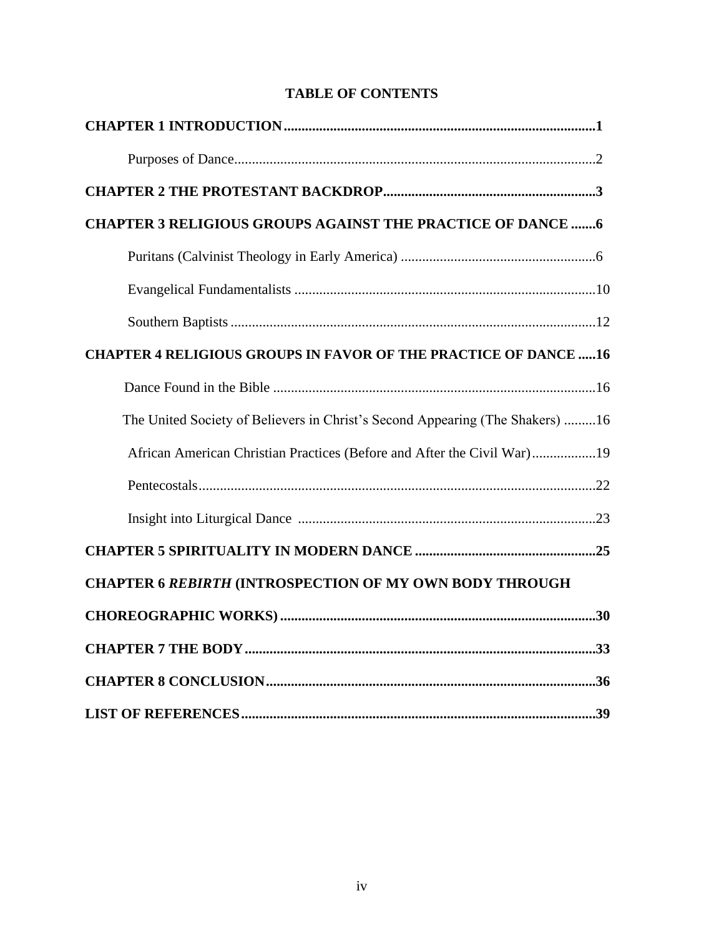| <b>CHAPTER 3 RELIGIOUS GROUPS AGAINST THE PRACTICE OF DANCE  6</b>            |  |
|-------------------------------------------------------------------------------|--|
|                                                                               |  |
|                                                                               |  |
|                                                                               |  |
| <b>CHAPTER 4 RELIGIOUS GROUPS IN FAVOR OF THE PRACTICE OF DANCE  16</b>       |  |
|                                                                               |  |
| The United Society of Believers in Christ's Second Appearing (The Shakers) 16 |  |
| African American Christian Practices (Before and After the Civil War)19       |  |
|                                                                               |  |
|                                                                               |  |
|                                                                               |  |
| <b>CHAPTER 6 REBIRTH (INTROSPECTION OF MY OWN BODY THROUGH</b>                |  |
|                                                                               |  |
|                                                                               |  |
|                                                                               |  |
|                                                                               |  |

# **TABLE OF CONTENTS**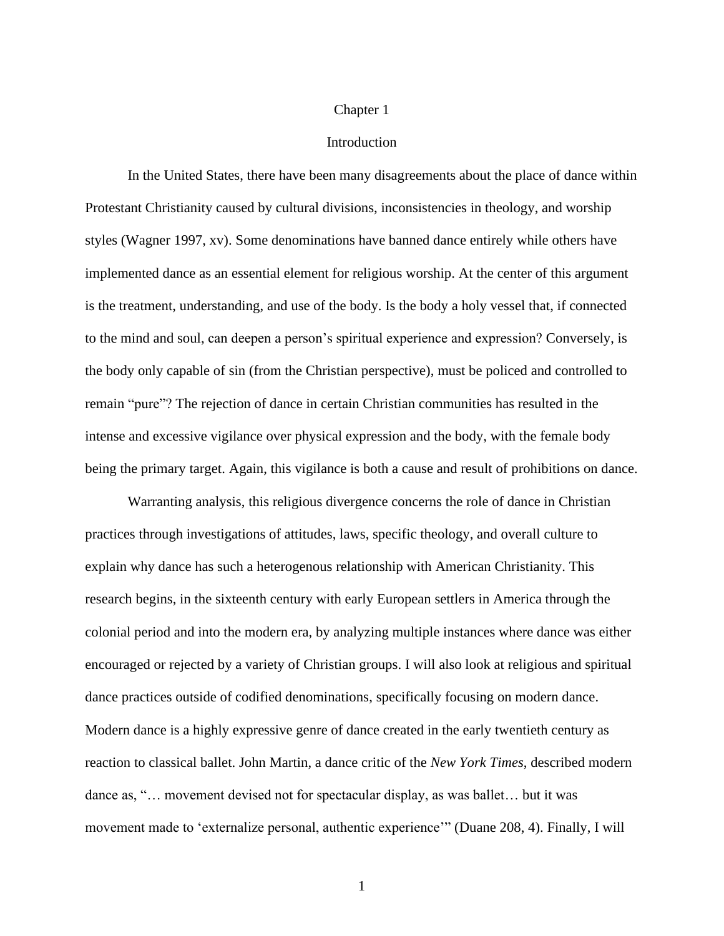# Chapter 1

# Introduction

In the United States, there have been many disagreements about the place of dance within Protestant Christianity caused by cultural divisions, inconsistencies in theology, and worship styles (Wagner 1997, xv). Some denominations have banned dance entirely while others have implemented dance as an essential element for religious worship. At the center of this argument is the treatment, understanding, and use of the body. Is the body a holy vessel that, if connected to the mind and soul, can deepen a person's spiritual experience and expression? Conversely, is the body only capable of sin (from the Christian perspective), must be policed and controlled to remain "pure"? The rejection of dance in certain Christian communities has resulted in the intense and excessive vigilance over physical expression and the body, with the female body being the primary target. Again, this vigilance is both a cause and result of prohibitions on dance.

Warranting analysis, this religious divergence concerns the role of dance in Christian practices through investigations of attitudes, laws, specific theology, and overall culture to explain why dance has such a heterogenous relationship with American Christianity. This research begins, in the sixteenth century with early European settlers in America through the colonial period and into the modern era, by analyzing multiple instances where dance was either encouraged or rejected by a variety of Christian groups. I will also look at religious and spiritual dance practices outside of codified denominations, specifically focusing on modern dance. Modern dance is a highly expressive genre of dance created in the early twentieth century as reaction to classical ballet. John Martin, a dance critic of the *New York Times*, described modern dance as, "… movement devised not for spectacular display, as was ballet… but it was movement made to 'externalize personal, authentic experience'" (Duane 208, 4). Finally, I will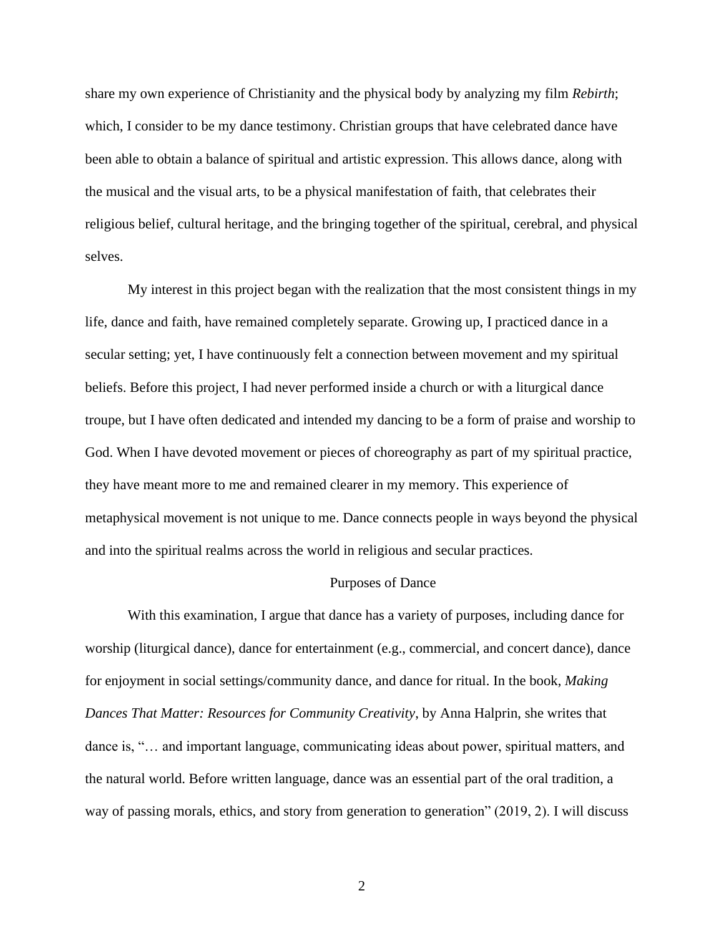share my own experience of Christianity and the physical body by analyzing my film *Rebirth*; which, I consider to be my dance testimony. Christian groups that have celebrated dance have been able to obtain a balance of spiritual and artistic expression. This allows dance, along with the musical and the visual arts, to be a physical manifestation of faith, that celebrates their religious belief, cultural heritage, and the bringing together of the spiritual, cerebral, and physical selves.

My interest in this project began with the realization that the most consistent things in my life, dance and faith, have remained completely separate. Growing up, I practiced dance in a secular setting; yet, I have continuously felt a connection between movement and my spiritual beliefs. Before this project, I had never performed inside a church or with a liturgical dance troupe, but I have often dedicated and intended my dancing to be a form of praise and worship to God. When I have devoted movement or pieces of choreography as part of my spiritual practice, they have meant more to me and remained clearer in my memory. This experience of metaphysical movement is not unique to me. Dance connects people in ways beyond the physical and into the spiritual realms across the world in religious and secular practices.

## Purposes of Dance

With this examination, I argue that dance has a variety of purposes, including dance for worship (liturgical dance), dance for entertainment (e.g., commercial, and concert dance), dance for enjoyment in social settings/community dance, and dance for ritual. In the book, *Making Dances That Matter: Resources for Community Creativity*, by Anna Halprin, she writes that dance is, "… and important language, communicating ideas about power, spiritual matters, and the natural world. Before written language, dance was an essential part of the oral tradition, a way of passing morals, ethics, and story from generation to generation" (2019, 2). I will discuss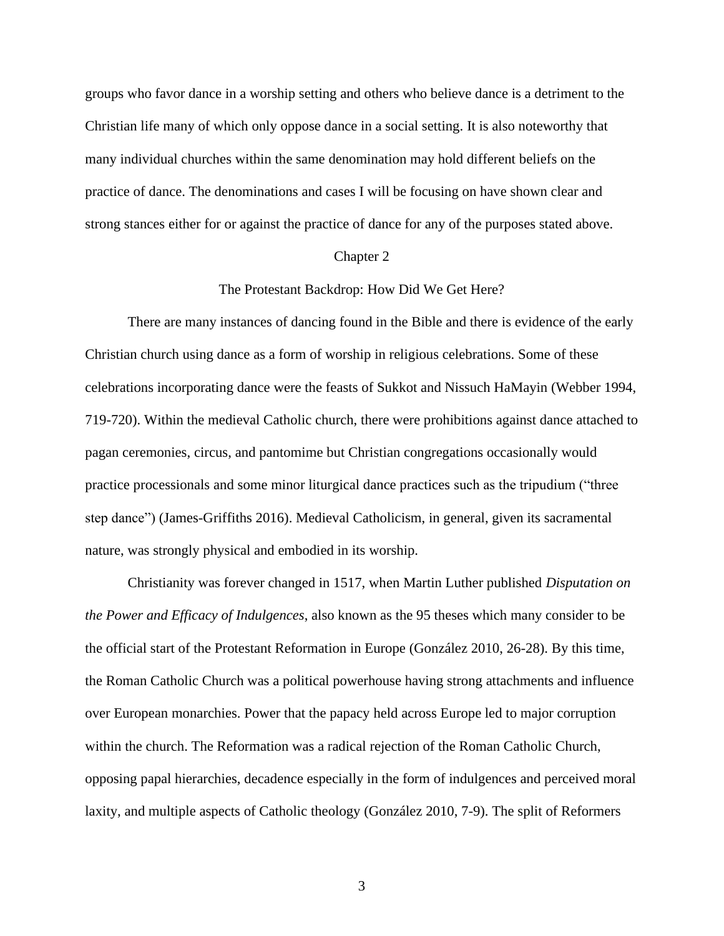groups who favor dance in a worship setting and others who believe dance is a detriment to the Christian life many of which only oppose dance in a social setting. It is also noteworthy that many individual churches within the same denomination may hold different beliefs on the practice of dance. The denominations and cases I will be focusing on have shown clear and strong stances either for or against the practice of dance for any of the purposes stated above.

#### Chapter 2

## The Protestant Backdrop: How Did We Get Here?

There are many instances of dancing found in the Bible and there is evidence of the early Christian church using dance as a form of worship in religious celebrations. Some of these celebrations incorporating dance were the feasts of Sukkot and Nissuch HaMayin (Webber 1994, 719-720). Within the medieval Catholic church, there were prohibitions against dance attached to pagan ceremonies, circus, and pantomime but Christian congregations occasionally would practice processionals and some minor liturgical dance practices such as the tripudium ("three step dance") (James-Griffiths 2016). Medieval Catholicism, in general, given its sacramental nature, was strongly physical and embodied in its worship.

Christianity was forever changed in 1517, when Martin Luther published *Disputation on the Power and Efficacy of Indulgences*, also known as the 95 theses which many consider to be the official start of the Protestant Reformation in Europe (González 2010, 26-28). By this time, the Roman Catholic Church was a political powerhouse having strong attachments and influence over European monarchies. Power that the papacy held across Europe led to major corruption within the church. The Reformation was a radical rejection of the Roman Catholic Church, opposing papal hierarchies, decadence especially in the form of indulgences and perceived moral laxity, and multiple aspects of Catholic theology (González 2010, 7-9). The split of Reformers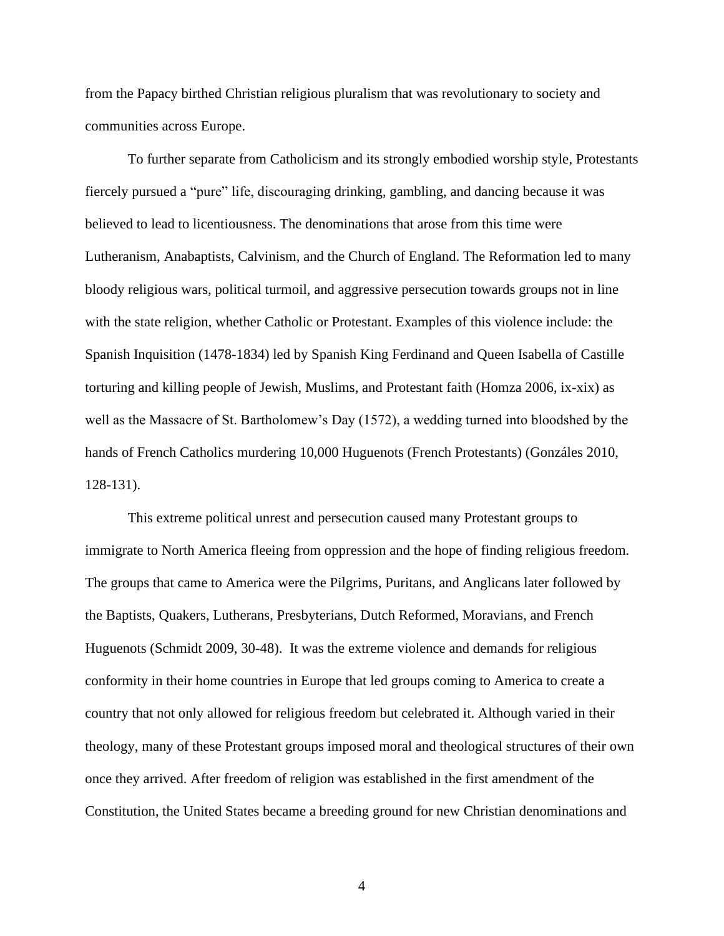from the Papacy birthed Christian religious pluralism that was revolutionary to society and communities across Europe.

To further separate from Catholicism and its strongly embodied worship style, Protestants fiercely pursued a "pure" life, discouraging drinking, gambling, and dancing because it was believed to lead to licentiousness. The denominations that arose from this time were Lutheranism, Anabaptists, Calvinism, and the Church of England. The Reformation led to many bloody religious wars, political turmoil, and aggressive persecution towards groups not in line with the state religion, whether Catholic or Protestant. Examples of this violence include: the Spanish Inquisition (1478-1834) led by Spanish King Ferdinand and Queen Isabella of Castille torturing and killing people of Jewish, Muslims, and Protestant faith (Homza 2006, ix-xix) as well as the Massacre of St. Bartholomew's Day (1572), a wedding turned into bloodshed by the hands of French Catholics murdering 10,000 Huguenots (French Protestants) (Gonzáles 2010, 128-131).

This extreme political unrest and persecution caused many Protestant groups to immigrate to North America fleeing from oppression and the hope of finding religious freedom. The groups that came to America were the Pilgrims, Puritans, and Anglicans later followed by the Baptists, Quakers, Lutherans, Presbyterians, Dutch Reformed, Moravians, and French Huguenots (Schmidt 2009, 30-48). It was the extreme violence and demands for religious conformity in their home countries in Europe that led groups coming to America to create a country that not only allowed for religious freedom but celebrated it. Although varied in their theology, many of these Protestant groups imposed moral and theological structures of their own once they arrived. After freedom of religion was established in the first amendment of the Constitution, the United States became a breeding ground for new Christian denominations and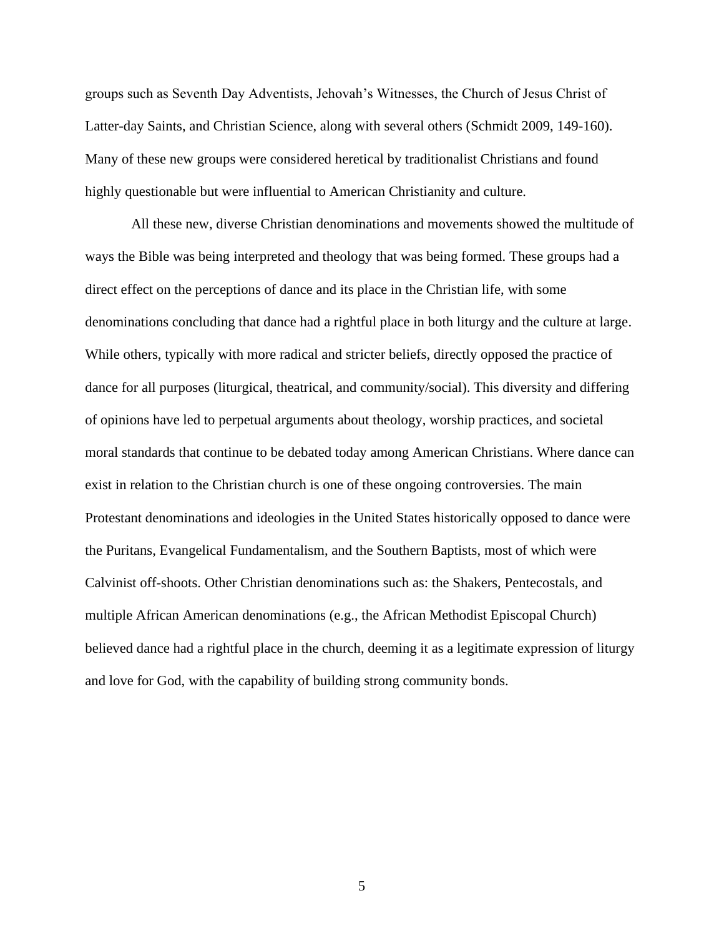groups such as Seventh Day Adventists, Jehovah's Witnesses, the Church of Jesus Christ of Latter-day Saints, and Christian Science, along with several others (Schmidt 2009, 149-160). Many of these new groups were considered heretical by traditionalist Christians and found highly questionable but were influential to American Christianity and culture.

All these new, diverse Christian denominations and movements showed the multitude of ways the Bible was being interpreted and theology that was being formed. These groups had a direct effect on the perceptions of dance and its place in the Christian life, with some denominations concluding that dance had a rightful place in both liturgy and the culture at large. While others, typically with more radical and stricter beliefs, directly opposed the practice of dance for all purposes (liturgical, theatrical, and community/social). This diversity and differing of opinions have led to perpetual arguments about theology, worship practices, and societal moral standards that continue to be debated today among American Christians. Where dance can exist in relation to the Christian church is one of these ongoing controversies. The main Protestant denominations and ideologies in the United States historically opposed to dance were the Puritans, Evangelical Fundamentalism, and the Southern Baptists, most of which were Calvinist off-shoots. Other Christian denominations such as: the Shakers, Pentecostals, and multiple African American denominations (e.g., the African Methodist Episcopal Church) believed dance had a rightful place in the church, deeming it as a legitimate expression of liturgy and love for God, with the capability of building strong community bonds.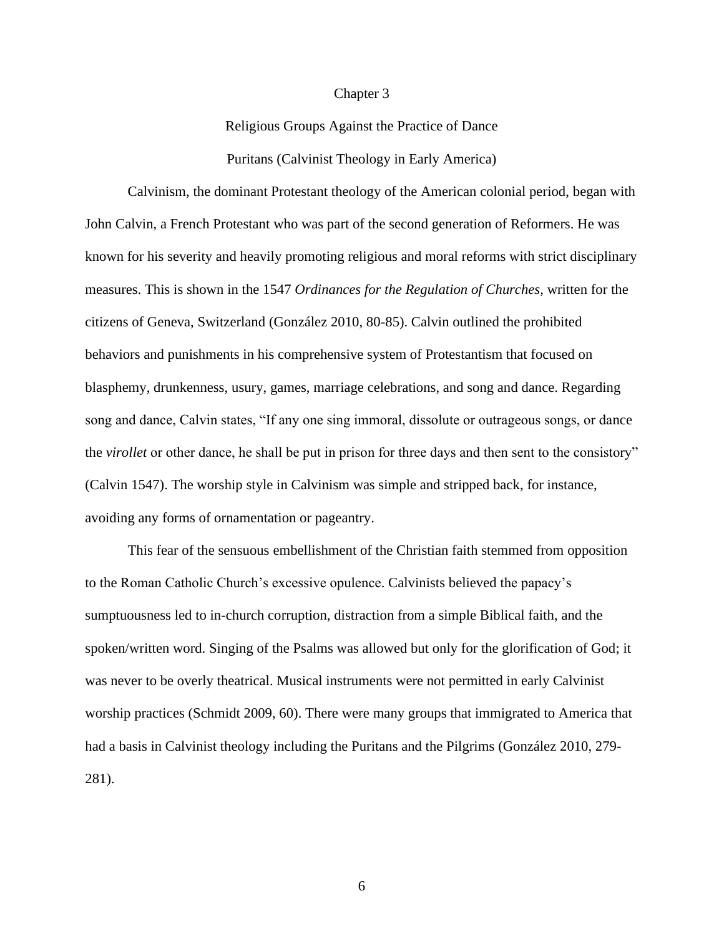#### Chapter 3

Religious Groups Against the Practice of Dance Puritans (Calvinist Theology in Early America)

Calvinism, the dominant Protestant theology of the American colonial period, began with John Calvin, a French Protestant who was part of the second generation of Reformers. He was known for his severity and heavily promoting religious and moral reforms with strict disciplinary measures. This is shown in the 1547 *Ordinances for the Regulation of Churches*, written for the citizens of Geneva, Switzerland (González 2010, 80-85). Calvin outlined the prohibited behaviors and punishments in his comprehensive system of Protestantism that focused on blasphemy, drunkenness, usury, games, marriage celebrations, and song and dance. Regarding song and dance, Calvin states, "If any one sing immoral, dissolute or outrageous songs, or dance the *virollet* or other dance, he shall be put in prison for three days and then sent to the consistory" (Calvin 1547). The worship style in Calvinism was simple and stripped back, for instance, avoiding any forms of ornamentation or pageantry.

This fear of the sensuous embellishment of the Christian faith stemmed from opposition to the Roman Catholic Church's excessive opulence. Calvinists believed the papacy's sumptuousness led to in-church corruption, distraction from a simple Biblical faith, and the spoken/written word. Singing of the Psalms was allowed but only for the glorification of God; it was never to be overly theatrical. Musical instruments were not permitted in early Calvinist worship practices (Schmidt 2009, 60). There were many groups that immigrated to America that had a basis in Calvinist theology including the Puritans and the Pilgrims (González 2010, 279- 281).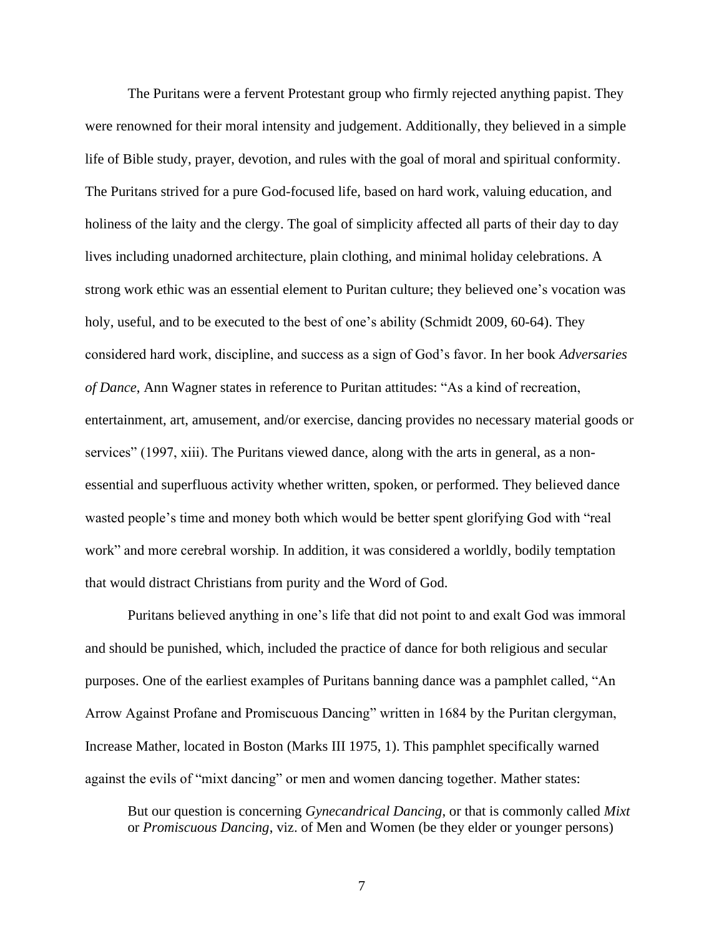The Puritans were a fervent Protestant group who firmly rejected anything papist. They were renowned for their moral intensity and judgement. Additionally, they believed in a simple life of Bible study, prayer, devotion, and rules with the goal of moral and spiritual conformity. The Puritans strived for a pure God-focused life, based on hard work, valuing education, and holiness of the laity and the clergy. The goal of simplicity affected all parts of their day to day lives including unadorned architecture, plain clothing, and minimal holiday celebrations. A strong work ethic was an essential element to Puritan culture; they believed one's vocation was holy, useful, and to be executed to the best of one's ability (Schmidt 2009, 60-64). They considered hard work, discipline, and success as a sign of God's favor. In her book *Adversaries of Dance*, Ann Wagner states in reference to Puritan attitudes: "As a kind of recreation, entertainment, art, amusement, and/or exercise, dancing provides no necessary material goods or services" (1997, xiii). The Puritans viewed dance, along with the arts in general, as a nonessential and superfluous activity whether written, spoken, or performed. They believed dance wasted people's time and money both which would be better spent glorifying God with "real work" and more cerebral worship. In addition, it was considered a worldly, bodily temptation that would distract Christians from purity and the Word of God.

Puritans believed anything in one's life that did not point to and exalt God was immoral and should be punished, which, included the practice of dance for both religious and secular purposes. One of the earliest examples of Puritans banning dance was a pamphlet called, "An Arrow Against Profane and Promiscuous Dancing" written in 1684 by the Puritan clergyman, Increase Mather, located in Boston (Marks III 1975, 1). This pamphlet specifically warned against the evils of "mixt dancing" or men and women dancing together. Mather states:

But our question is concerning *Gynecandrical Dancing*, or that is commonly called *Mixt*  or *Promiscuous Dancing*, viz. of Men and Women (be they elder or younger persons)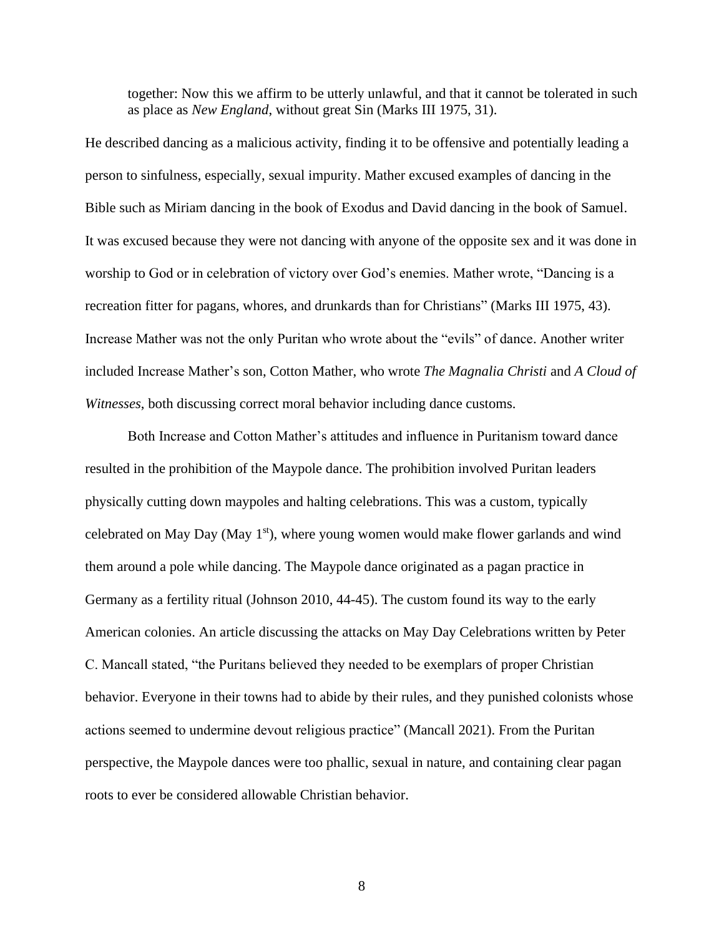together: Now this we affirm to be utterly unlawful, and that it cannot be tolerated in such as place as *New England*, without great Sin (Marks III 1975, 31).

He described dancing as a malicious activity, finding it to be offensive and potentially leading a person to sinfulness, especially, sexual impurity. Mather excused examples of dancing in the Bible such as Miriam dancing in the book of Exodus and David dancing in the book of Samuel. It was excused because they were not dancing with anyone of the opposite sex and it was done in worship to God or in celebration of victory over God's enemies. Mather wrote, "Dancing is a recreation fitter for pagans, whores, and drunkards than for Christians" (Marks III 1975, 43). Increase Mather was not the only Puritan who wrote about the "evils" of dance. Another writer included Increase Mather's son, Cotton Mather, who wrote *The Magnalia Christi* and *A Cloud of Witnesses*, both discussing correct moral behavior including dance customs.

Both Increase and Cotton Mather's attitudes and influence in Puritanism toward dance resulted in the prohibition of the Maypole dance. The prohibition involved Puritan leaders physically cutting down maypoles and halting celebrations. This was a custom, typically celebrated on May Day (May  $1<sup>st</sup>$ ), where young women would make flower garlands and wind them around a pole while dancing. The Maypole dance originated as a pagan practice in Germany as a fertility ritual (Johnson 2010, 44-45). The custom found its way to the early American colonies. An article discussing the attacks on May Day Celebrations written by Peter C. Mancall stated, "the Puritans believed they needed to be exemplars of proper Christian behavior. Everyone in their towns had to abide by their rules, and they punished colonists whose actions seemed to undermine devout religious practice" (Mancall 2021). From the Puritan perspective, the Maypole dances were too phallic, sexual in nature, and containing clear pagan roots to ever be considered allowable Christian behavior.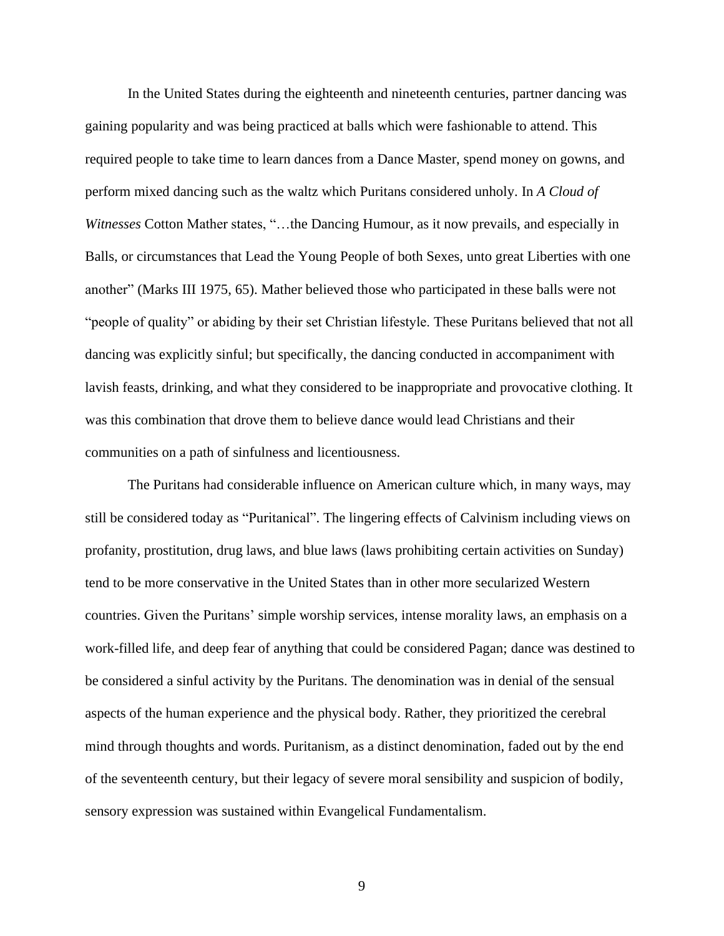In the United States during the eighteenth and nineteenth centuries, partner dancing was gaining popularity and was being practiced at balls which were fashionable to attend. This required people to take time to learn dances from a Dance Master, spend money on gowns, and perform mixed dancing such as the waltz which Puritans considered unholy. In *A Cloud of Witnesses* Cotton Mather states, "…the Dancing Humour, as it now prevails, and especially in Balls, or circumstances that Lead the Young People of both Sexes, unto great Liberties with one another" (Marks III 1975, 65). Mather believed those who participated in these balls were not "people of quality" or abiding by their set Christian lifestyle. These Puritans believed that not all dancing was explicitly sinful; but specifically, the dancing conducted in accompaniment with lavish feasts, drinking, and what they considered to be inappropriate and provocative clothing. It was this combination that drove them to believe dance would lead Christians and their communities on a path of sinfulness and licentiousness.

The Puritans had considerable influence on American culture which, in many ways, may still be considered today as "Puritanical". The lingering effects of Calvinism including views on profanity, prostitution, drug laws, and blue laws (laws prohibiting certain activities on Sunday) tend to be more conservative in the United States than in other more secularized Western countries. Given the Puritans' simple worship services, intense morality laws, an emphasis on a work-filled life, and deep fear of anything that could be considered Pagan; dance was destined to be considered a sinful activity by the Puritans. The denomination was in denial of the sensual aspects of the human experience and the physical body. Rather, they prioritized the cerebral mind through thoughts and words. Puritanism, as a distinct denomination, faded out by the end of the seventeenth century, but their legacy of severe moral sensibility and suspicion of bodily, sensory expression was sustained within Evangelical Fundamentalism.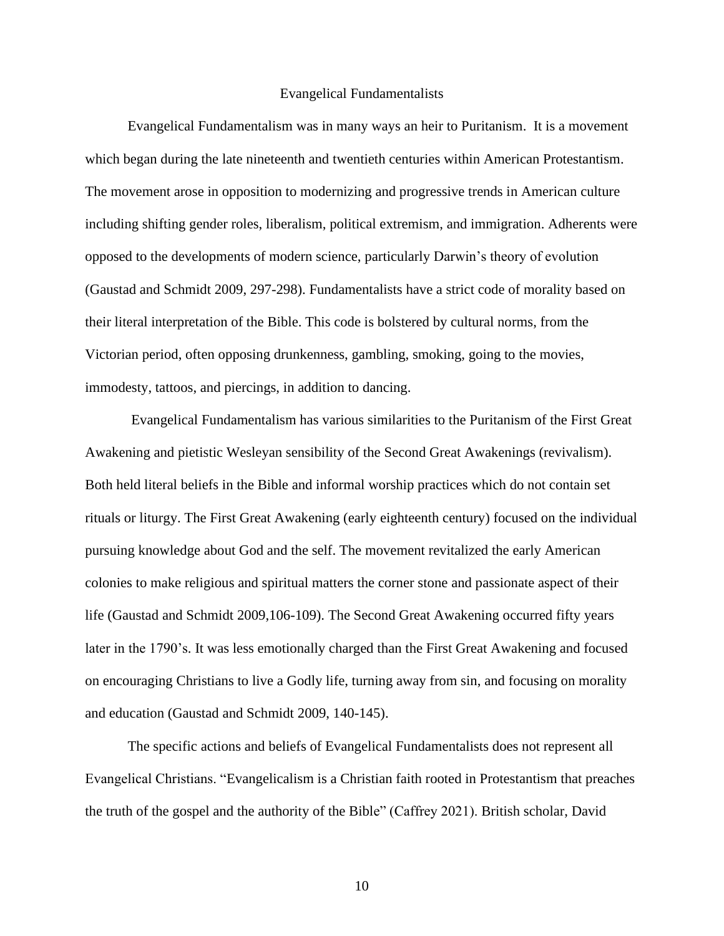#### Evangelical Fundamentalists

Evangelical Fundamentalism was in many ways an heir to Puritanism. It is a movement which began during the late nineteenth and twentieth centuries within American Protestantism. The movement arose in opposition to modernizing and progressive trends in American culture including shifting gender roles, liberalism, political extremism, and immigration. Adherents were opposed to the developments of modern science, particularly Darwin's theory of evolution (Gaustad and Schmidt 2009, 297-298). Fundamentalists have a strict code of morality based on their literal interpretation of the Bible. This code is bolstered by cultural norms, from the Victorian period, often opposing drunkenness, gambling, smoking, going to the movies, immodesty, tattoos, and piercings, in addition to dancing.

Evangelical Fundamentalism has various similarities to the Puritanism of the First Great Awakening and pietistic Wesleyan sensibility of the Second Great Awakenings (revivalism). Both held literal beliefs in the Bible and informal worship practices which do not contain set rituals or liturgy. The First Great Awakening (early eighteenth century) focused on the individual pursuing knowledge about God and the self. The movement revitalized the early American colonies to make religious and spiritual matters the corner stone and passionate aspect of their life (Gaustad and Schmidt 2009,106-109). The Second Great Awakening occurred fifty years later in the 1790's. It was less emotionally charged than the First Great Awakening and focused on encouraging Christians to live a Godly life, turning away from sin, and focusing on morality and education (Gaustad and Schmidt 2009, 140-145).

The specific actions and beliefs of Evangelical Fundamentalists does not represent all Evangelical Christians. "Evangelicalism is a Christian faith rooted in Protestantism that preaches the truth of the gospel and the authority of the Bible" (Caffrey 2021). British scholar, David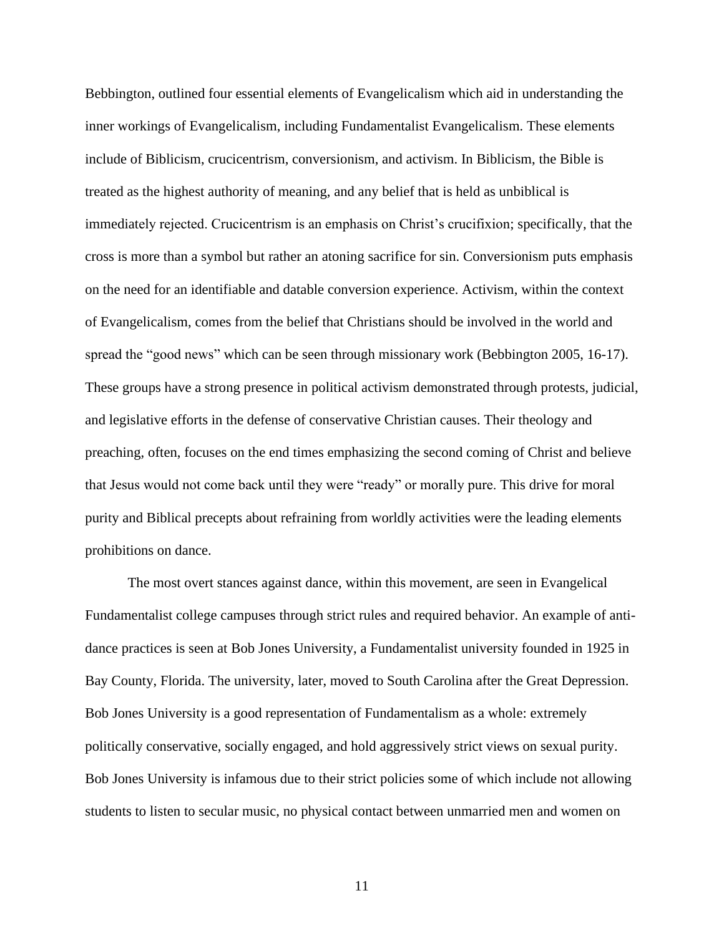Bebbington, outlined four essential elements of Evangelicalism which aid in understanding the inner workings of Evangelicalism, including Fundamentalist Evangelicalism. These elements include of Biblicism, crucicentrism, conversionism, and activism. In Biblicism, the Bible is treated as the highest authority of meaning, and any belief that is held as unbiblical is immediately rejected. Crucicentrism is an emphasis on Christ's crucifixion; specifically, that the cross is more than a symbol but rather an atoning sacrifice for sin. Conversionism puts emphasis on the need for an identifiable and datable conversion experience. Activism, within the context of Evangelicalism, comes from the belief that Christians should be involved in the world and spread the "good news" which can be seen through missionary work (Bebbington 2005, 16-17). These groups have a strong presence in political activism demonstrated through protests, judicial, and legislative efforts in the defense of conservative Christian causes. Their theology and preaching, often, focuses on the end times emphasizing the second coming of Christ and believe that Jesus would not come back until they were "ready" or morally pure. This drive for moral purity and Biblical precepts about refraining from worldly activities were the leading elements prohibitions on dance.

The most overt stances against dance, within this movement, are seen in Evangelical Fundamentalist college campuses through strict rules and required behavior. An example of antidance practices is seen at Bob Jones University, a Fundamentalist university founded in 1925 in Bay County, Florida. The university, later, moved to South Carolina after the Great Depression. Bob Jones University is a good representation of Fundamentalism as a whole: extremely politically conservative, socially engaged, and hold aggressively strict views on sexual purity. Bob Jones University is infamous due to their strict policies some of which include not allowing students to listen to secular music, no physical contact between unmarried men and women on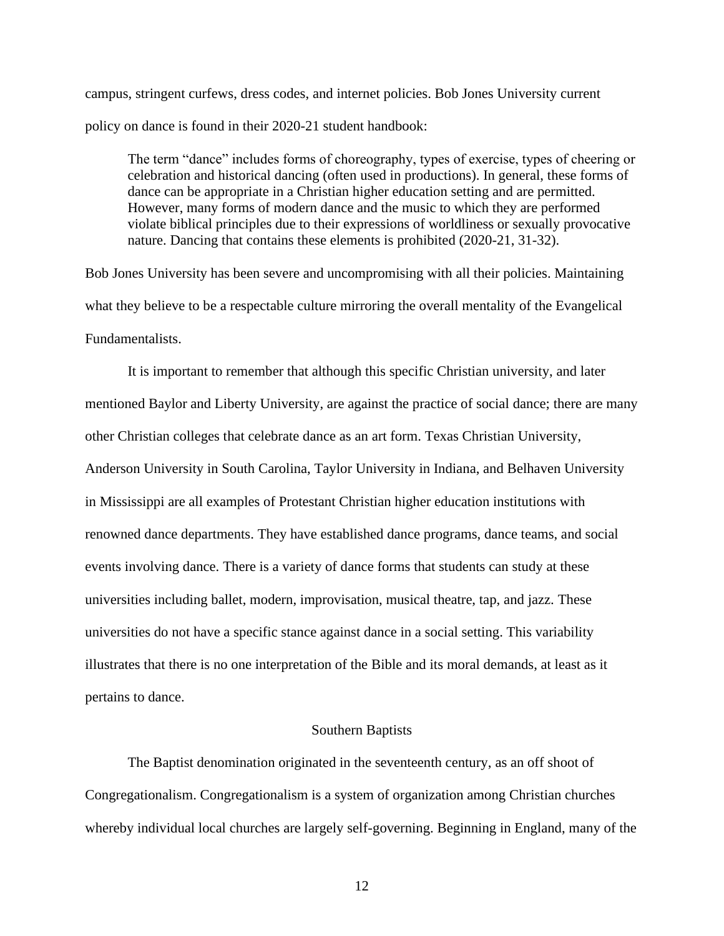campus, stringent curfews, dress codes, and internet policies. Bob Jones University current policy on dance is found in their 2020-21 student handbook:

The term "dance" includes forms of choreography, types of exercise, types of cheering or celebration and historical dancing (often used in productions). In general, these forms of dance can be appropriate in a Christian higher education setting and are permitted. However, many forms of modern dance and the music to which they are performed violate biblical principles due to their expressions of worldliness or sexually provocative nature. Dancing that contains these elements is prohibited (2020-21, 31-32).

Bob Jones University has been severe and uncompromising with all their policies. Maintaining what they believe to be a respectable culture mirroring the overall mentality of the Evangelical Fundamentalists.

It is important to remember that although this specific Christian university, and later mentioned Baylor and Liberty University, are against the practice of social dance; there are many other Christian colleges that celebrate dance as an art form. Texas Christian University, Anderson University in South Carolina, Taylor University in Indiana, and Belhaven University in Mississippi are all examples of Protestant Christian higher education institutions with renowned dance departments. They have established dance programs, dance teams, and social events involving dance. There is a variety of dance forms that students can study at these universities including ballet, modern, improvisation, musical theatre, tap, and jazz. These universities do not have a specific stance against dance in a social setting. This variability illustrates that there is no one interpretation of the Bible and its moral demands, at least as it pertains to dance.

# Southern Baptists

The Baptist denomination originated in the seventeenth century, as an off shoot of Congregationalism. Congregationalism is a system of organization among Christian churches whereby individual local churches are largely self-governing. Beginning in England, many of the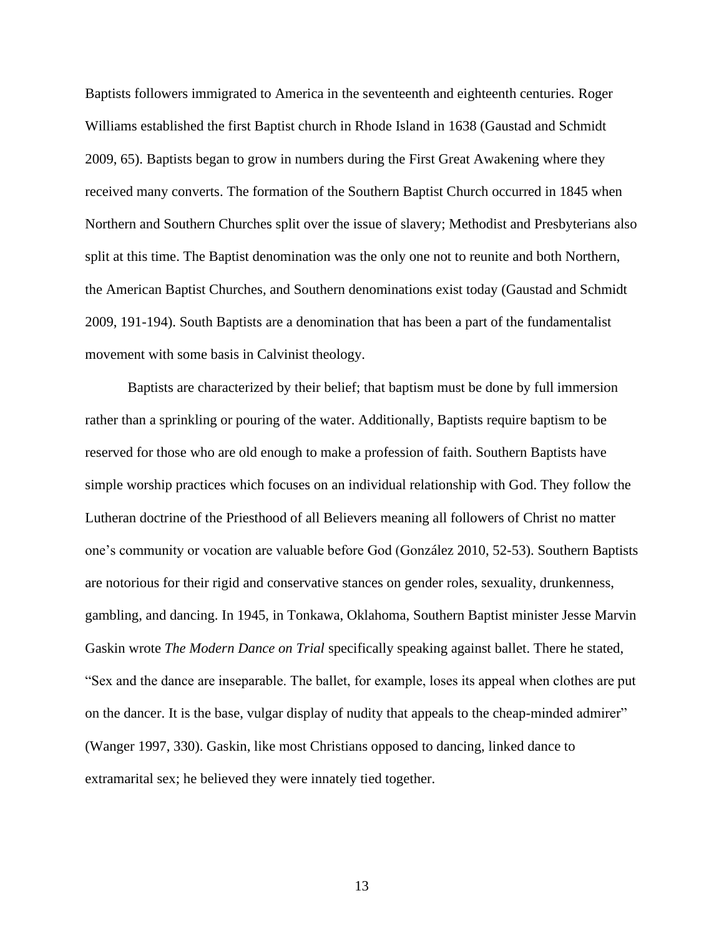Baptists followers immigrated to America in the seventeenth and eighteenth centuries. Roger Williams established the first Baptist church in Rhode Island in 1638 (Gaustad and Schmidt 2009, 65). Baptists began to grow in numbers during the First Great Awakening where they received many converts. The formation of the Southern Baptist Church occurred in 1845 when Northern and Southern Churches split over the issue of slavery; Methodist and Presbyterians also split at this time. The Baptist denomination was the only one not to reunite and both Northern, the American Baptist Churches, and Southern denominations exist today (Gaustad and Schmidt 2009, 191-194). South Baptists are a denomination that has been a part of the fundamentalist movement with some basis in Calvinist theology.

Baptists are characterized by their belief; that baptism must be done by full immersion rather than a sprinkling or pouring of the water. Additionally, Baptists require baptism to be reserved for those who are old enough to make a profession of faith. Southern Baptists have simple worship practices which focuses on an individual relationship with God. They follow the Lutheran doctrine of the Priesthood of all Believers meaning all followers of Christ no matter one's community or vocation are valuable before God (González 2010, 52-53). Southern Baptists are notorious for their rigid and conservative stances on gender roles, sexuality, drunkenness, gambling, and dancing. In 1945, in Tonkawa, Oklahoma, Southern Baptist minister Jesse Marvin Gaskin wrote *The Modern Dance on Trial* specifically speaking against ballet. There he stated, "Sex and the dance are inseparable. The ballet, for example, loses its appeal when clothes are put on the dancer. It is the base, vulgar display of nudity that appeals to the cheap-minded admirer" (Wanger 1997, 330). Gaskin, like most Christians opposed to dancing, linked dance to extramarital sex; he believed they were innately tied together.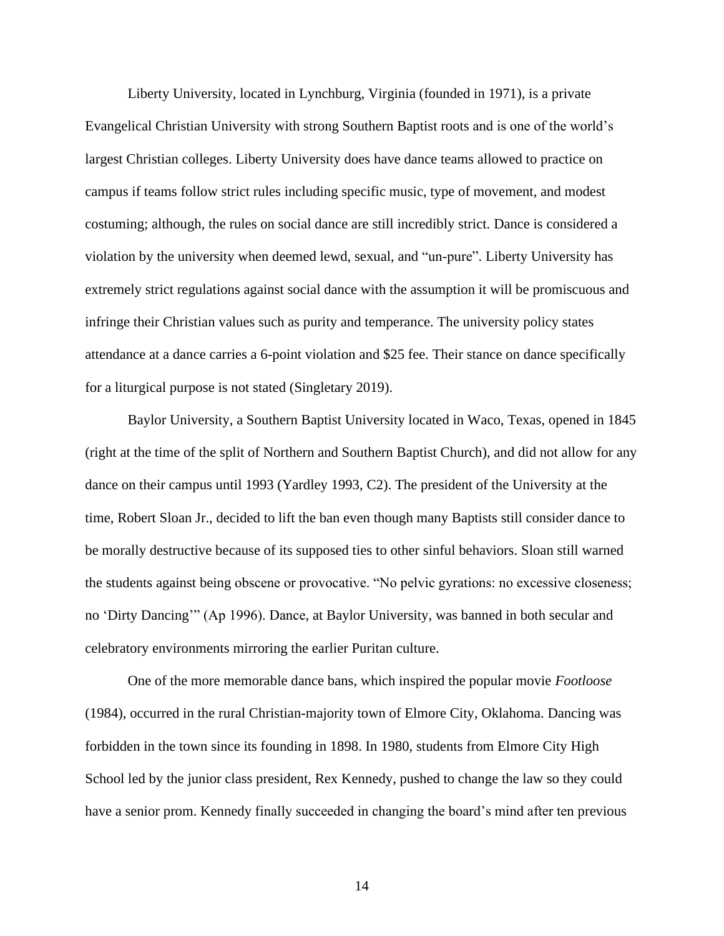Liberty University, located in Lynchburg, Virginia (founded in 1971), is a private Evangelical Christian University with strong Southern Baptist roots and is one of the world's largest Christian colleges. Liberty University does have dance teams allowed to practice on campus if teams follow strict rules including specific music, type of movement, and modest costuming; although, the rules on social dance are still incredibly strict. Dance is considered a violation by the university when deemed lewd, sexual, and "un-pure". Liberty University has extremely strict regulations against social dance with the assumption it will be promiscuous and infringe their Christian values such as purity and temperance. The university policy states attendance at a dance carries a 6-point violation and \$25 fee. Their stance on dance specifically for a liturgical purpose is not stated (Singletary 2019).

Baylor University, a Southern Baptist University located in Waco, Texas, opened in 1845 (right at the time of the split of Northern and Southern Baptist Church), and did not allow for any dance on their campus until 1993 (Yardley 1993, C2). The president of the University at the time, Robert Sloan Jr., decided to lift the ban even though many Baptists still consider dance to be morally destructive because of its supposed ties to other sinful behaviors. Sloan still warned the students against being obscene or provocative. "No pelvic gyrations: no excessive closeness; no 'Dirty Dancing'" (Ap 1996). Dance, at Baylor University, was banned in both secular and celebratory environments mirroring the earlier Puritan culture.

One of the more memorable dance bans, which inspired the popular movie *Footloose* (1984), occurred in the rural Christian-majority town of Elmore City, Oklahoma. Dancing was forbidden in the town since its founding in 1898. In 1980, students from Elmore City High School led by the junior class president, Rex Kennedy, pushed to change the law so they could have a senior prom. Kennedy finally succeeded in changing the board's mind after ten previous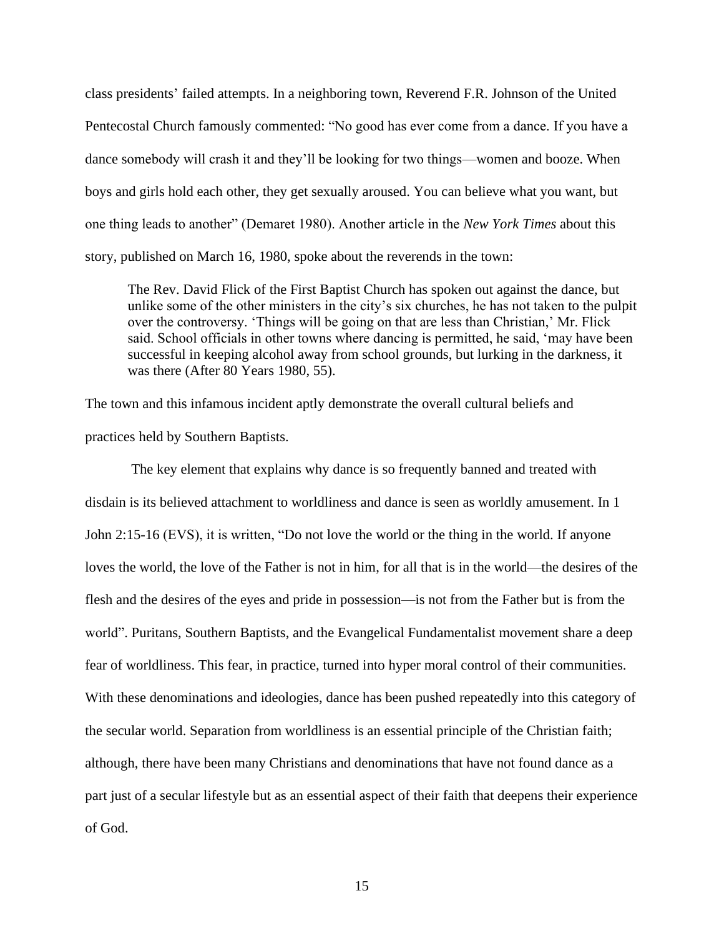class presidents' failed attempts. In a neighboring town, Reverend F.R. Johnson of the United Pentecostal Church famously commented: "No good has ever come from a dance. If you have a dance somebody will crash it and they'll be looking for two things—women and booze. When boys and girls hold each other, they get sexually aroused. You can believe what you want, but one thing leads to another" (Demaret 1980). Another article in the *New York Times* about this story, published on March 16, 1980, spoke about the reverends in the town:

The Rev. David Flick of the First Baptist Church has spoken out against the dance, but unlike some of the other ministers in the city's six churches, he has not taken to the pulpit over the controversy. 'Things will be going on that are less than Christian,' Mr. Flick said. School officials in other towns where dancing is permitted, he said, 'may have been successful in keeping alcohol away from school grounds, but lurking in the darkness, it was there (After 80 Years 1980, 55).

The town and this infamous incident aptly demonstrate the overall cultural beliefs and practices held by Southern Baptists.

The key element that explains why dance is so frequently banned and treated with disdain is its believed attachment to worldliness and dance is seen as worldly amusement. In 1 John 2:15-16 (EVS), it is written, "Do not love the world or the thing in the world. If anyone loves the world, the love of the Father is not in him, for all that is in the world—the desires of the flesh and the desires of the eyes and pride in possession—is not from the Father but is from the world". Puritans, Southern Baptists, and the Evangelical Fundamentalist movement share a deep fear of worldliness. This fear, in practice, turned into hyper moral control of their communities. With these denominations and ideologies, dance has been pushed repeatedly into this category of the secular world. Separation from worldliness is an essential principle of the Christian faith; although, there have been many Christians and denominations that have not found dance as a part just of a secular lifestyle but as an essential aspect of their faith that deepens their experience of God.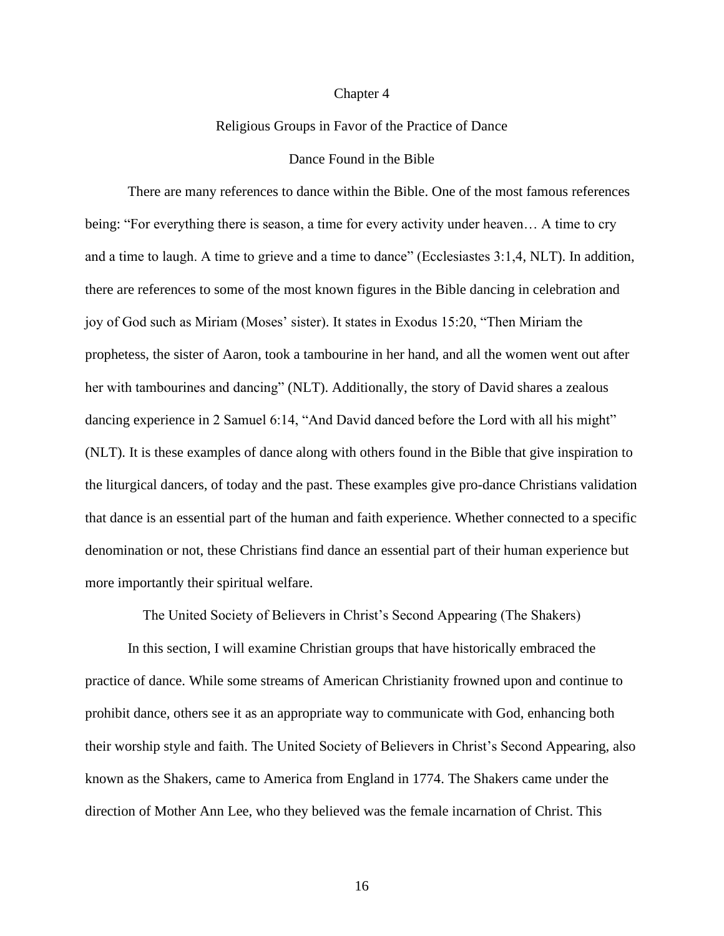#### Chapter 4

# Religious Groups in Favor of the Practice of Dance

## Dance Found in the Bible

There are many references to dance within the Bible. One of the most famous references being: "For everything there is season, a time for every activity under heaven… A time to cry and a time to laugh. A time to grieve and a time to dance" (Ecclesiastes 3:1,4, NLT). In addition, there are references to some of the most known figures in the Bible dancing in celebration and joy of God such as Miriam (Moses' sister). It states in Exodus 15:20, "Then Miriam the prophetess, the sister of Aaron, took a tambourine in her hand, and all the women went out after her with tambourines and dancing" (NLT). Additionally, the story of David shares a zealous dancing experience in 2 Samuel 6:14, "And David danced before the Lord with all his might" (NLT). It is these examples of dance along with others found in the Bible that give inspiration to the liturgical dancers, of today and the past. These examples give pro-dance Christians validation that dance is an essential part of the human and faith experience. Whether connected to a specific denomination or not, these Christians find dance an essential part of their human experience but more importantly their spiritual welfare.

The United Society of Believers in Christ's Second Appearing (The Shakers)

In this section, I will examine Christian groups that have historically embraced the practice of dance. While some streams of American Christianity frowned upon and continue to prohibit dance, others see it as an appropriate way to communicate with God, enhancing both their worship style and faith. The United Society of Believers in Christ's Second Appearing, also known as the Shakers, came to America from England in 1774. The Shakers came under the direction of Mother Ann Lee, who they believed was the female incarnation of Christ. This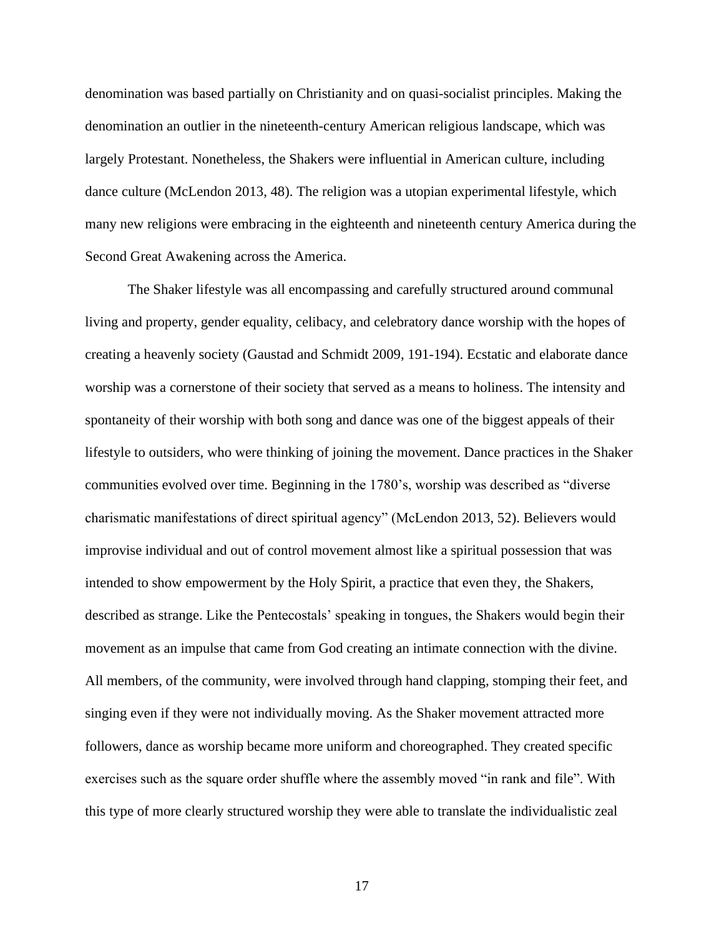denomination was based partially on Christianity and on quasi-socialist principles. Making the denomination an outlier in the nineteenth-century American religious landscape, which was largely Protestant. Nonetheless, the Shakers were influential in American culture, including dance culture (McLendon 2013, 48). The religion was a utopian experimental lifestyle, which many new religions were embracing in the eighteenth and nineteenth century America during the Second Great Awakening across the America.

The Shaker lifestyle was all encompassing and carefully structured around communal living and property, gender equality, celibacy, and celebratory dance worship with the hopes of creating a heavenly society (Gaustad and Schmidt 2009, 191-194). Ecstatic and elaborate dance worship was a cornerstone of their society that served as a means to holiness. The intensity and spontaneity of their worship with both song and dance was one of the biggest appeals of their lifestyle to outsiders, who were thinking of joining the movement. Dance practices in the Shaker communities evolved over time. Beginning in the 1780's, worship was described as "diverse charismatic manifestations of direct spiritual agency" (McLendon 2013, 52). Believers would improvise individual and out of control movement almost like a spiritual possession that was intended to show empowerment by the Holy Spirit, a practice that even they, the Shakers, described as strange. Like the Pentecostals' speaking in tongues, the Shakers would begin their movement as an impulse that came from God creating an intimate connection with the divine. All members, of the community, were involved through hand clapping, stomping their feet, and singing even if they were not individually moving. As the Shaker movement attracted more followers, dance as worship became more uniform and choreographed. They created specific exercises such as the square order shuffle where the assembly moved "in rank and file". With this type of more clearly structured worship they were able to translate the individualistic zeal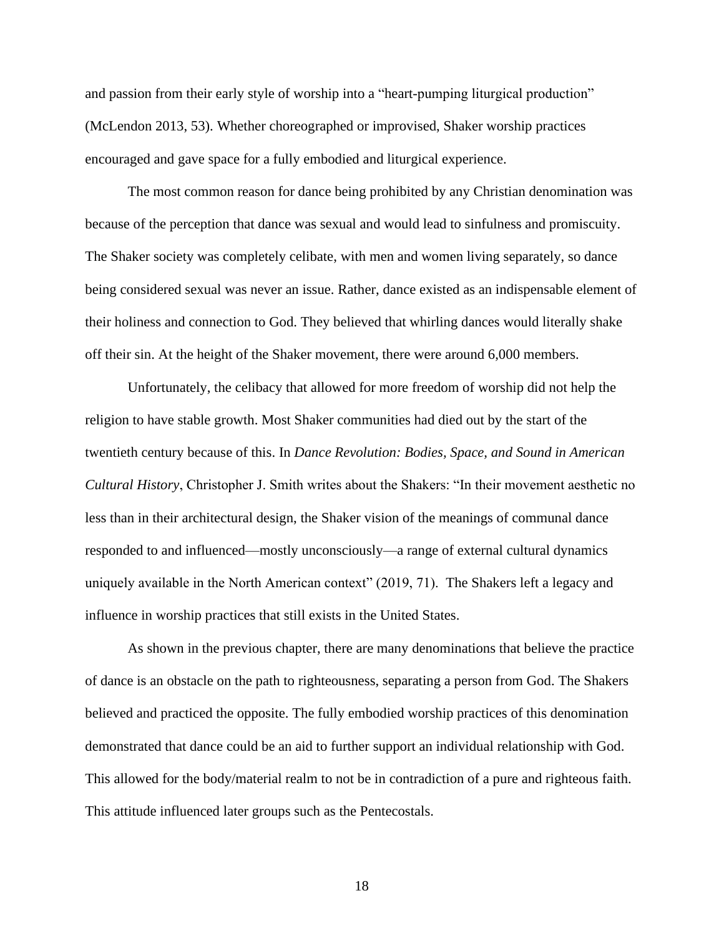and passion from their early style of worship into a "heart-pumping liturgical production" (McLendon 2013, 53). Whether choreographed or improvised, Shaker worship practices encouraged and gave space for a fully embodied and liturgical experience.

The most common reason for dance being prohibited by any Christian denomination was because of the perception that dance was sexual and would lead to sinfulness and promiscuity. The Shaker society was completely celibate, with men and women living separately, so dance being considered sexual was never an issue. Rather, dance existed as an indispensable element of their holiness and connection to God. They believed that whirling dances would literally shake off their sin. At the height of the Shaker movement, there were around 6,000 members.

Unfortunately, the celibacy that allowed for more freedom of worship did not help the religion to have stable growth. Most Shaker communities had died out by the start of the twentieth century because of this. In *Dance Revolution: Bodies, Space, and Sound in American Cultural History*, Christopher J. Smith writes about the Shakers: "In their movement aesthetic no less than in their architectural design, the Shaker vision of the meanings of communal dance responded to and influenced—mostly unconsciously—a range of external cultural dynamics uniquely available in the North American context" (2019, 71). The Shakers left a legacy and influence in worship practices that still exists in the United States.

As shown in the previous chapter, there are many denominations that believe the practice of dance is an obstacle on the path to righteousness, separating a person from God. The Shakers believed and practiced the opposite. The fully embodied worship practices of this denomination demonstrated that dance could be an aid to further support an individual relationship with God. This allowed for the body/material realm to not be in contradiction of a pure and righteous faith. This attitude influenced later groups such as the Pentecostals.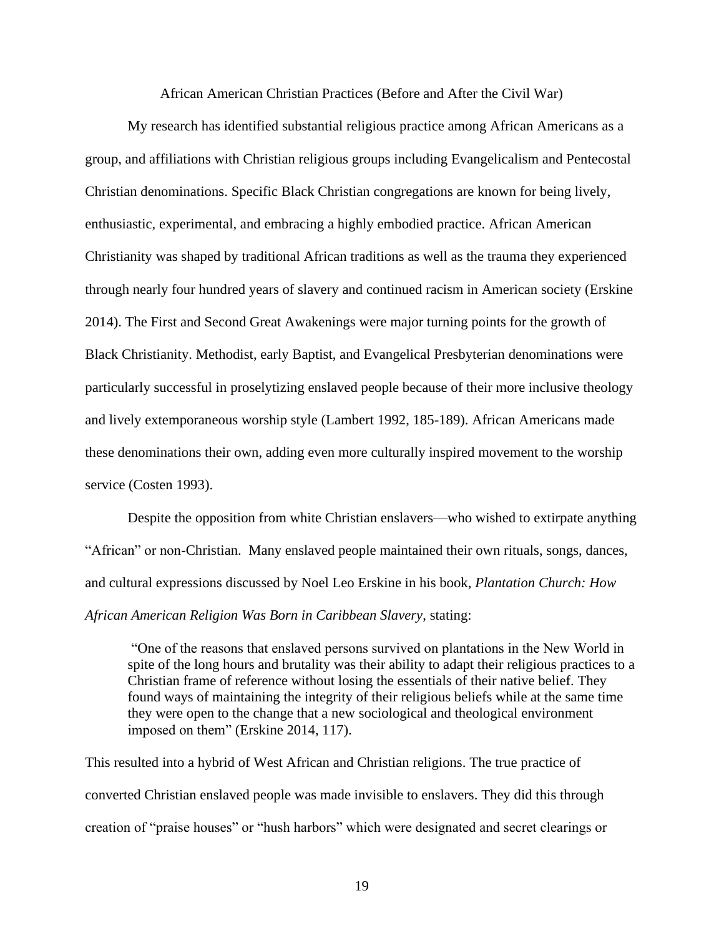African American Christian Practices (Before and After the Civil War)

My research has identified substantial religious practice among African Americans as a group, and affiliations with Christian religious groups including Evangelicalism and Pentecostal Christian denominations. Specific Black Christian congregations are known for being lively, enthusiastic, experimental, and embracing a highly embodied practice. African American Christianity was shaped by traditional African traditions as well as the trauma they experienced through nearly four hundred years of slavery and continued racism in American society (Erskine 2014). The First and Second Great Awakenings were major turning points for the growth of Black Christianity. Methodist, early Baptist, and Evangelical Presbyterian denominations were particularly successful in proselytizing enslaved people because of their more inclusive theology and lively extemporaneous worship style (Lambert 1992, 185-189). African Americans made these denominations their own, adding even more culturally inspired movement to the worship service (Costen 1993).

Despite the opposition from white Christian enslavers—who wished to extirpate anything "African" or non-Christian. Many enslaved people maintained their own rituals, songs, dances, and cultural expressions discussed by Noel Leo Erskine in his book, *Plantation Church: How African American Religion Was Born in Caribbean Slavery*, stating:

"One of the reasons that enslaved persons survived on plantations in the New World in spite of the long hours and brutality was their ability to adapt their religious practices to a Christian frame of reference without losing the essentials of their native belief. They found ways of maintaining the integrity of their religious beliefs while at the same time they were open to the change that a new sociological and theological environment imposed on them" (Erskine 2014, 117).

This resulted into a hybrid of West African and Christian religions. The true practice of converted Christian enslaved people was made invisible to enslavers. They did this through creation of "praise houses" or "hush harbors" which were designated and secret clearings or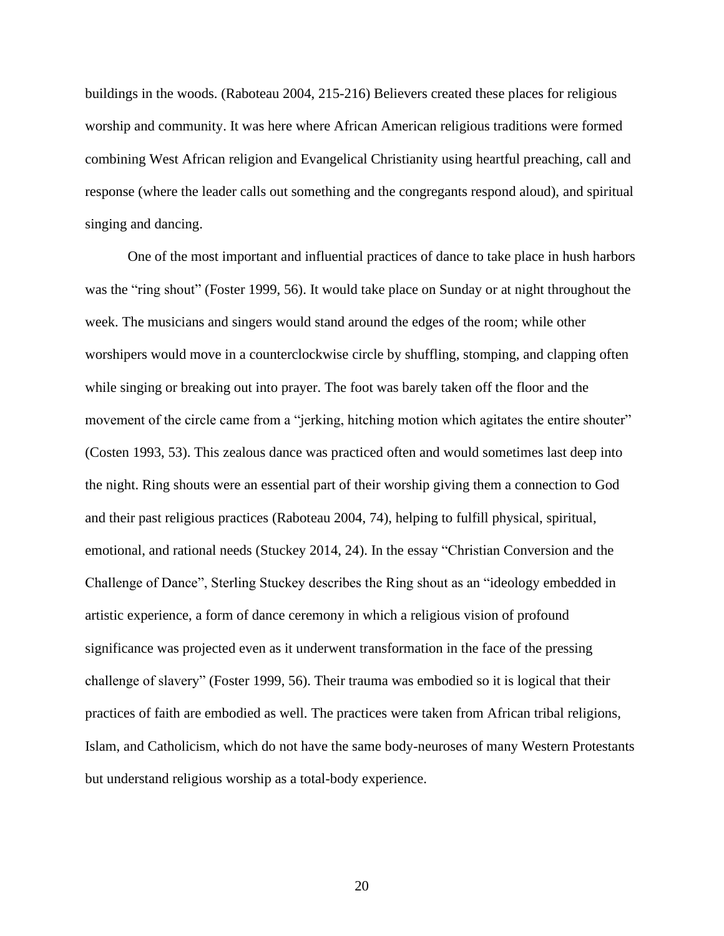buildings in the woods. (Raboteau 2004, 215-216) Believers created these places for religious worship and community. It was here where African American religious traditions were formed combining West African religion and Evangelical Christianity using heartful preaching, call and response (where the leader calls out something and the congregants respond aloud), and spiritual singing and dancing.

One of the most important and influential practices of dance to take place in hush harbors was the "ring shout" (Foster 1999, 56). It would take place on Sunday or at night throughout the week. The musicians and singers would stand around the edges of the room; while other worshipers would move in a counterclockwise circle by shuffling, stomping, and clapping often while singing or breaking out into prayer. The foot was barely taken off the floor and the movement of the circle came from a "jerking, hitching motion which agitates the entire shouter" (Costen 1993, 53). This zealous dance was practiced often and would sometimes last deep into the night. Ring shouts were an essential part of their worship giving them a connection to God and their past religious practices (Raboteau 2004, 74), helping to fulfill physical, spiritual, emotional, and rational needs (Stuckey 2014, 24). In the essay "Christian Conversion and the Challenge of Dance", Sterling Stuckey describes the Ring shout as an "ideology embedded in artistic experience, a form of dance ceremony in which a religious vision of profound significance was projected even as it underwent transformation in the face of the pressing challenge of slavery" (Foster 1999, 56). Their trauma was embodied so it is logical that their practices of faith are embodied as well. The practices were taken from African tribal religions, Islam, and Catholicism, which do not have the same body-neuroses of many Western Protestants but understand religious worship as a total-body experience.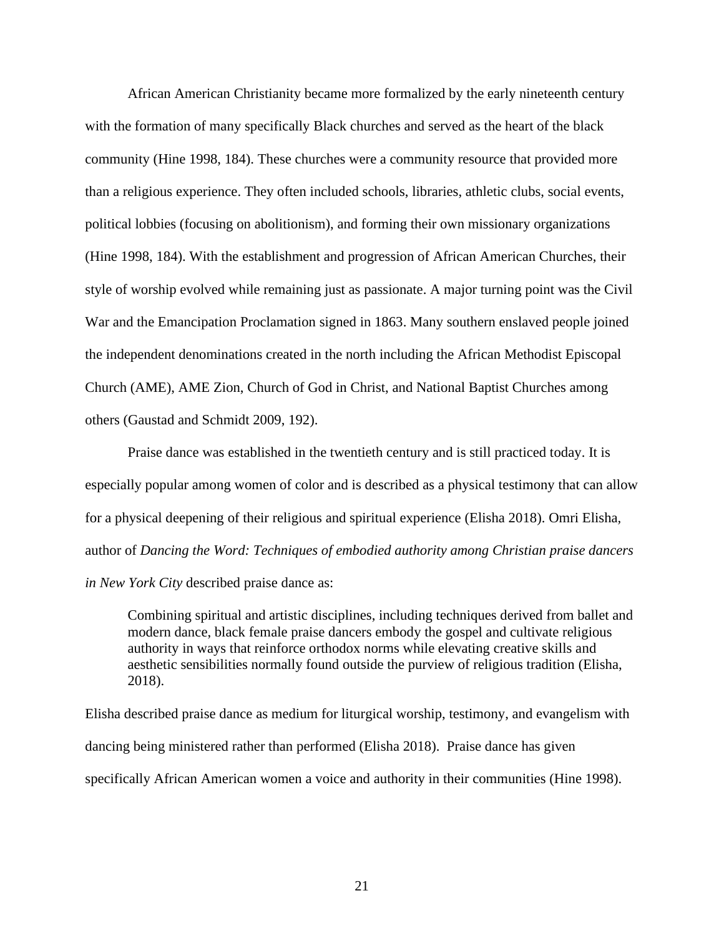African American Christianity became more formalized by the early nineteenth century with the formation of many specifically Black churches and served as the heart of the black community (Hine 1998, 184). These churches were a community resource that provided more than a religious experience. They often included schools, libraries, athletic clubs, social events, political lobbies (focusing on abolitionism), and forming their own missionary organizations (Hine 1998, 184). With the establishment and progression of African American Churches, their style of worship evolved while remaining just as passionate. A major turning point was the Civil War and the Emancipation Proclamation signed in 1863. Many southern enslaved people joined the independent denominations created in the north including the African Methodist Episcopal Church (AME), AME Zion, Church of God in Christ, and National Baptist Churches among others (Gaustad and Schmidt 2009, 192).

Praise dance was established in the twentieth century and is still practiced today. It is especially popular among women of color and is described as a physical testimony that can allow for a physical deepening of their religious and spiritual experience (Elisha 2018). Omri Elisha*,* author of *Dancing the Word: Techniques of embodied authority among Christian praise dancers in New York City* described praise dance as:

Combining spiritual and artistic disciplines, including techniques derived from ballet and modern dance, black female praise dancers embody the gospel and cultivate religious authority in ways that reinforce orthodox norms while elevating creative skills and aesthetic sensibilities normally found outside the purview of religious tradition (Elisha, 2018).

Elisha described praise dance as medium for liturgical worship, testimony, and evangelism with dancing being ministered rather than performed (Elisha 2018). Praise dance has given specifically African American women a voice and authority in their communities (Hine 1998).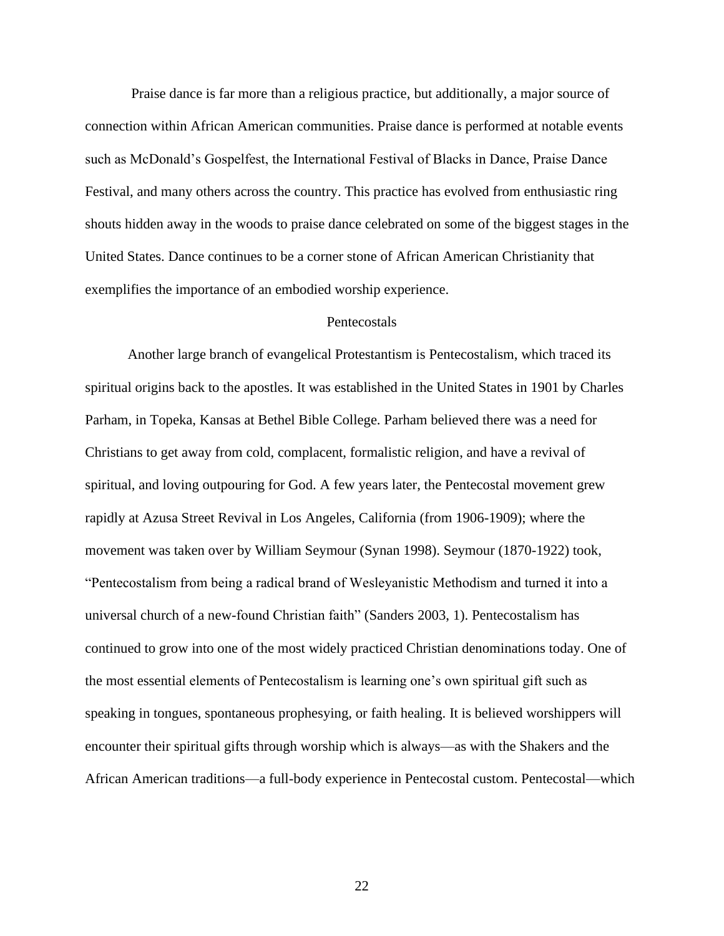Praise dance is far more than a religious practice, but additionally, a major source of connection within African American communities. Praise dance is performed at notable events such as McDonald's Gospelfest, the International Festival of Blacks in Dance, Praise Dance Festival, and many others across the country. This practice has evolved from enthusiastic ring shouts hidden away in the woods to praise dance celebrated on some of the biggest stages in the United States. Dance continues to be a corner stone of African American Christianity that exemplifies the importance of an embodied worship experience.

# **Pentecostals**

Another large branch of evangelical Protestantism is Pentecostalism, which traced its spiritual origins back to the apostles. It was established in the United States in 1901 by Charles Parham, in Topeka, Kansas at Bethel Bible College. Parham believed there was a need for Christians to get away from cold, complacent, formalistic religion, and have a revival of spiritual, and loving outpouring for God. A few years later, the Pentecostal movement grew rapidly at Azusa Street Revival in Los Angeles, California (from 1906-1909); where the movement was taken over by William Seymour (Synan 1998). Seymour (1870-1922) took, "Pentecostalism from being a radical brand of Wesleyanistic Methodism and turned it into a universal church of a new-found Christian faith" (Sanders 2003, 1). Pentecostalism has continued to grow into one of the most widely practiced Christian denominations today. One of the most essential elements of Pentecostalism is learning one's own spiritual gift such as speaking in tongues, spontaneous prophesying, or faith healing. It is believed worshippers will encounter their spiritual gifts through worship which is always—as with the Shakers and the African American traditions—a full-body experience in Pentecostal custom. Pentecostal—which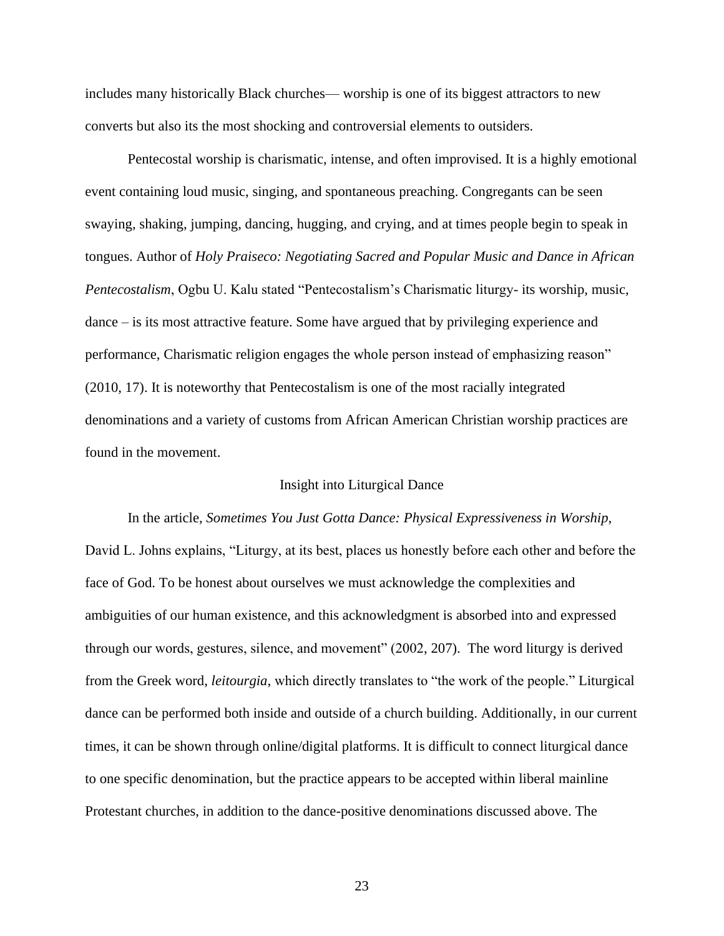includes many historically Black churches— worship is one of its biggest attractors to new converts but also its the most shocking and controversial elements to outsiders.

Pentecostal worship is charismatic, intense, and often improvised. It is a highly emotional event containing loud music, singing, and spontaneous preaching. Congregants can be seen swaying, shaking, jumping, dancing, hugging, and crying, and at times people begin to speak in tongues. Author of *Holy Praiseco: Negotiating Sacred and Popular Music and Dance in African Pentecostalism*, Ogbu U. Kalu stated "Pentecostalism's Charismatic liturgy- its worship, music, dance – is its most attractive feature. Some have argued that by privileging experience and performance, Charismatic religion engages the whole person instead of emphasizing reason" (2010, 17). It is noteworthy that Pentecostalism is one of the most racially integrated denominations and a variety of customs from African American Christian worship practices are found in the movement.

# Insight into Liturgical Dance

In the article, *Sometimes You Just Gotta Dance: Physical Expressiveness in Worship*, David L. Johns explains, "Liturgy, at its best, places us honestly before each other and before the face of God. To be honest about ourselves we must acknowledge the complexities and ambiguities of our human existence, and this acknowledgment is absorbed into and expressed through our words, gestures, silence, and movement" (2002, 207). The word liturgy is derived from the Greek word, *leitourgia*, which directly translates to "the work of the people." Liturgical dance can be performed both inside and outside of a church building. Additionally, in our current times, it can be shown through online/digital platforms. It is difficult to connect liturgical dance to one specific denomination, but the practice appears to be accepted within liberal mainline Protestant churches, in addition to the dance-positive denominations discussed above. The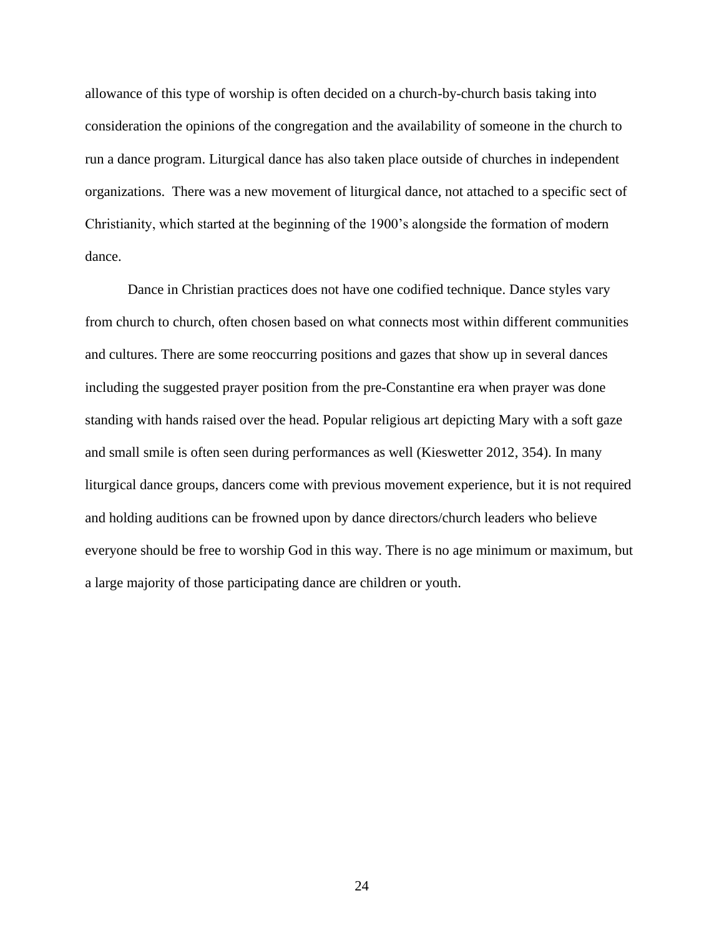allowance of this type of worship is often decided on a church-by-church basis taking into consideration the opinions of the congregation and the availability of someone in the church to run a dance program. Liturgical dance has also taken place outside of churches in independent organizations. There was a new movement of liturgical dance, not attached to a specific sect of Christianity, which started at the beginning of the 1900's alongside the formation of modern dance.

Dance in Christian practices does not have one codified technique. Dance styles vary from church to church, often chosen based on what connects most within different communities and cultures. There are some reoccurring positions and gazes that show up in several dances including the suggested prayer position from the pre-Constantine era when prayer was done standing with hands raised over the head. Popular religious art depicting Mary with a soft gaze and small smile is often seen during performances as well (Kieswetter 2012, 354). In many liturgical dance groups, dancers come with previous movement experience, but it is not required and holding auditions can be frowned upon by dance directors/church leaders who believe everyone should be free to worship God in this way. There is no age minimum or maximum, but a large majority of those participating dance are children or youth.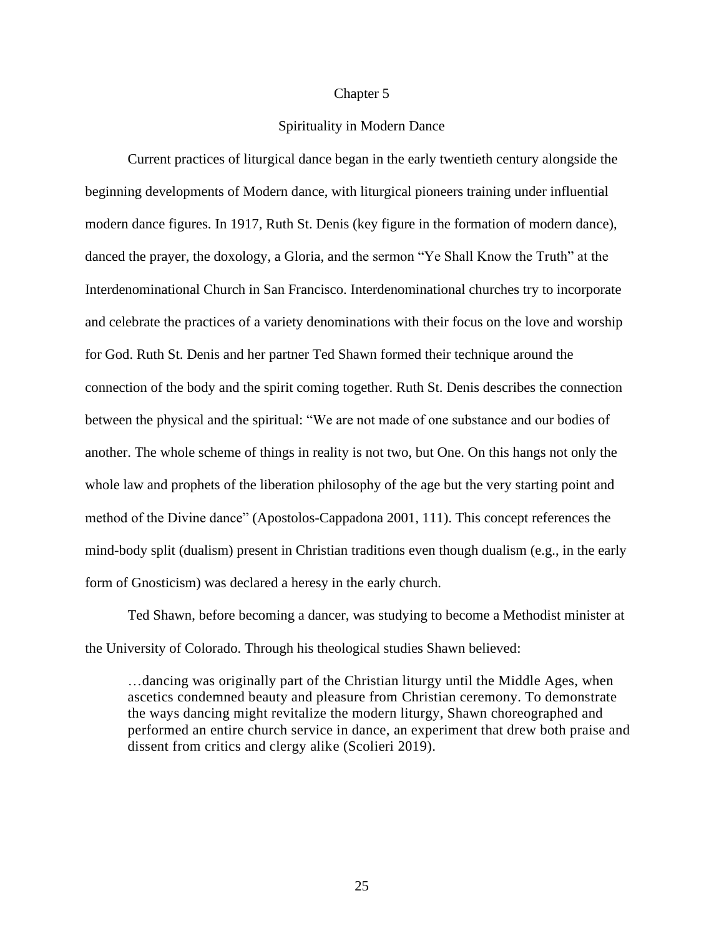## Chapter 5

# Spirituality in Modern Dance

Current practices of liturgical dance began in the early twentieth century alongside the beginning developments of Modern dance, with liturgical pioneers training under influential modern dance figures. In 1917, Ruth St. Denis (key figure in the formation of modern dance), danced the prayer, the doxology, a Gloria, and the sermon "Ye Shall Know the Truth" at the Interdenominational Church in San Francisco. Interdenominational churches try to incorporate and celebrate the practices of a variety denominations with their focus on the love and worship for God. Ruth St. Denis and her partner Ted Shawn formed their technique around the connection of the body and the spirit coming together. Ruth St. Denis describes the connection between the physical and the spiritual: "We are not made of one substance and our bodies of another. The whole scheme of things in reality is not two, but One. On this hangs not only the whole law and prophets of the liberation philosophy of the age but the very starting point and method of the Divine dance" (Apostolos-Cappadona 2001, 111). This concept references the mind-body split (dualism) present in Christian traditions even though dualism (e.g., in the early form of Gnosticism) was declared a heresy in the early church.

Ted Shawn, before becoming a dancer, was studying to become a Methodist minister at the University of Colorado. Through his theological studies Shawn believed:

…dancing was originally part of the Christian liturgy until the Middle Ages, when ascetics condemned beauty and pleasure from Christian ceremony. To demonstrate the ways dancing might revitalize the modern liturgy, Shawn choreographed and performed an entire church service in dance, an experiment that drew both praise and dissent from critics and clergy alike (Scolieri 2019).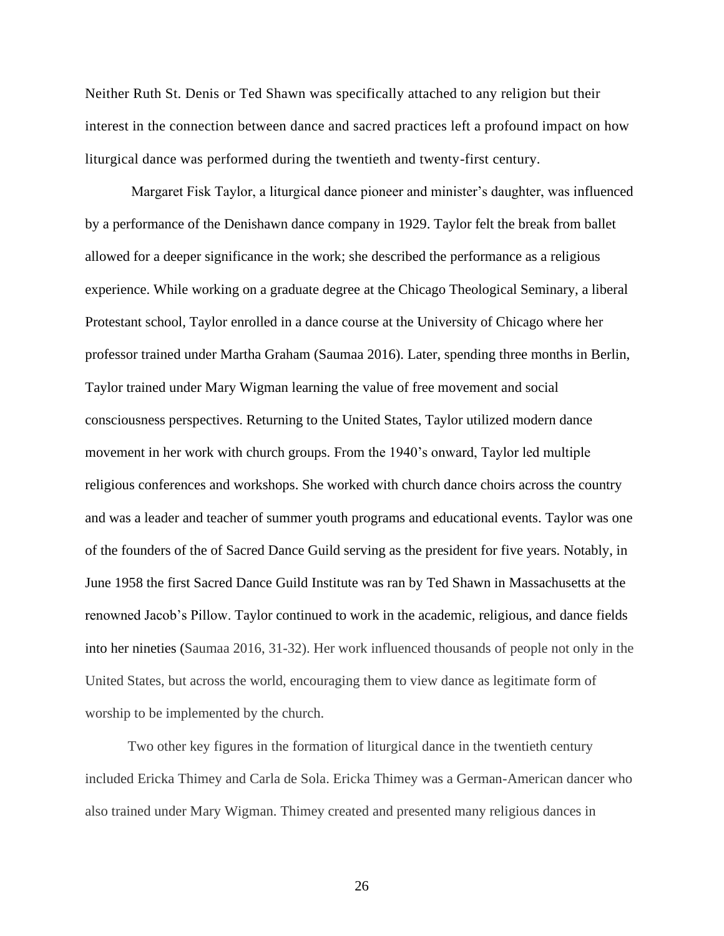Neither Ruth St. Denis or Ted Shawn was specifically attached to any religion but their interest in the connection between dance and sacred practices left a profound impact on how liturgical dance was performed during the twentieth and twenty-first century.

Margaret Fisk Taylor, a liturgical dance pioneer and minister's daughter, was influenced by a performance of the Denishawn dance company in 1929. Taylor felt the break from ballet allowed for a deeper significance in the work; she described the performance as a religious experience. While working on a graduate degree at the Chicago Theological Seminary, a liberal Protestant school, Taylor enrolled in a dance course at the University of Chicago where her professor trained under Martha Graham (Saumaa 2016). Later, spending three months in Berlin, Taylor trained under Mary Wigman learning the value of free movement and social consciousness perspectives. Returning to the United States, Taylor utilized modern dance movement in her work with church groups. From the 1940's onward, Taylor led multiple religious conferences and workshops. She worked with church dance choirs across the country and was a leader and teacher of summer youth programs and educational events. Taylor was one of the founders of the of Sacred Dance Guild serving as the president for five years. Notably, in June 1958 the first Sacred Dance Guild Institute was ran by Ted Shawn in Massachusetts at the renowned Jacob's Pillow. Taylor continued to work in the academic, religious, and dance fields into her nineties (Saumaa 2016, 31-32). Her work influenced thousands of people not only in the United States, but across the world, encouraging them to view dance as legitimate form of worship to be implemented by the church.

Two other key figures in the formation of liturgical dance in the twentieth century included Ericka Thimey and Carla de Sola. Ericka Thimey was a German-American dancer who also trained under Mary Wigman. Thimey created and presented many religious dances in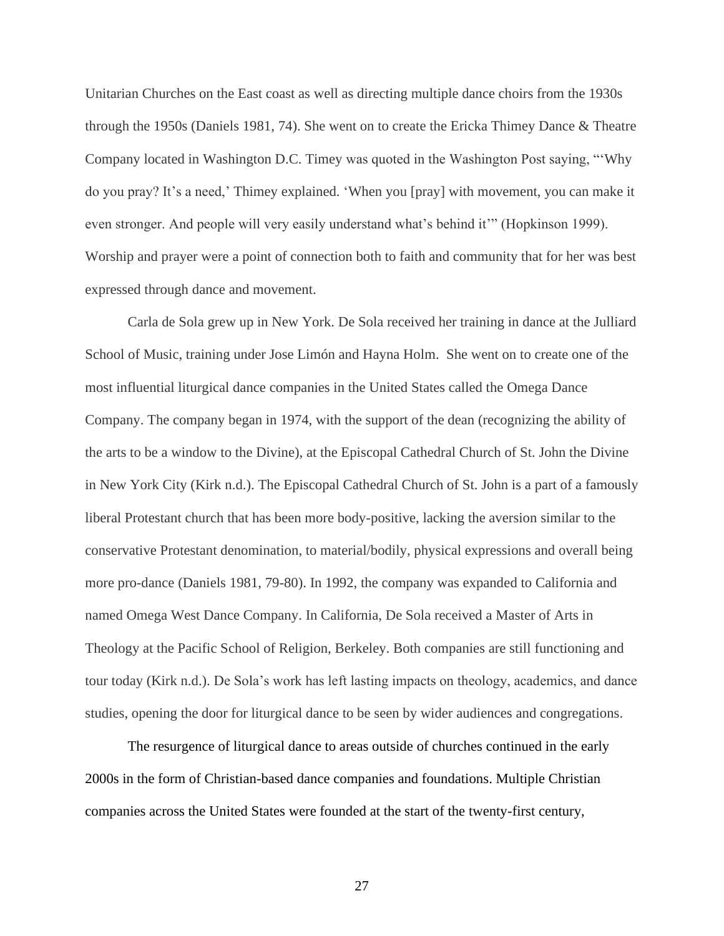Unitarian Churches on the East coast as well as directing multiple dance choirs from the 1930s through the 1950s (Daniels 1981, 74). She went on to create the Ericka Thimey Dance & Theatre Company located in Washington D.C. Timey was quoted in the Washington Post saying, "'Why do you pray? It's a need,' Thimey explained. 'When you [pray] with movement, you can make it even stronger. And people will very easily understand what's behind it'" (Hopkinson 1999). Worship and prayer were a point of connection both to faith and community that for her was best expressed through dance and movement.

Carla de Sola grew up in New York. De Sola received her training in dance at the Julliard School of Music, training under Jose Limón and Hayna Holm. She went on to create one of the most influential liturgical dance companies in the United States called the Omega Dance Company. The company began in 1974, with the support of the dean (recognizing the ability of the arts to be a window to the Divine), at the Episcopal Cathedral Church of St. John the Divine in New York City (Kirk n.d.). The Episcopal Cathedral Church of St. John is a part of a famously liberal Protestant church that has been more body-positive, lacking the aversion similar to the conservative Protestant denomination, to material/bodily, physical expressions and overall being more pro-dance (Daniels 1981, 79-80). In 1992, the company was expanded to California and named Omega West Dance Company. In California, De Sola received a Master of Arts in Theology at the Pacific School of Religion, Berkeley. Both companies are still functioning and tour today (Kirk n.d.). De Sola's work has left lasting impacts on theology, academics, and dance studies, opening the door for liturgical dance to be seen by wider audiences and congregations.

The resurgence of liturgical dance to areas outside of churches continued in the early 2000s in the form of Christian-based dance companies and foundations. Multiple Christian companies across the United States were founded at the start of the twenty-first century,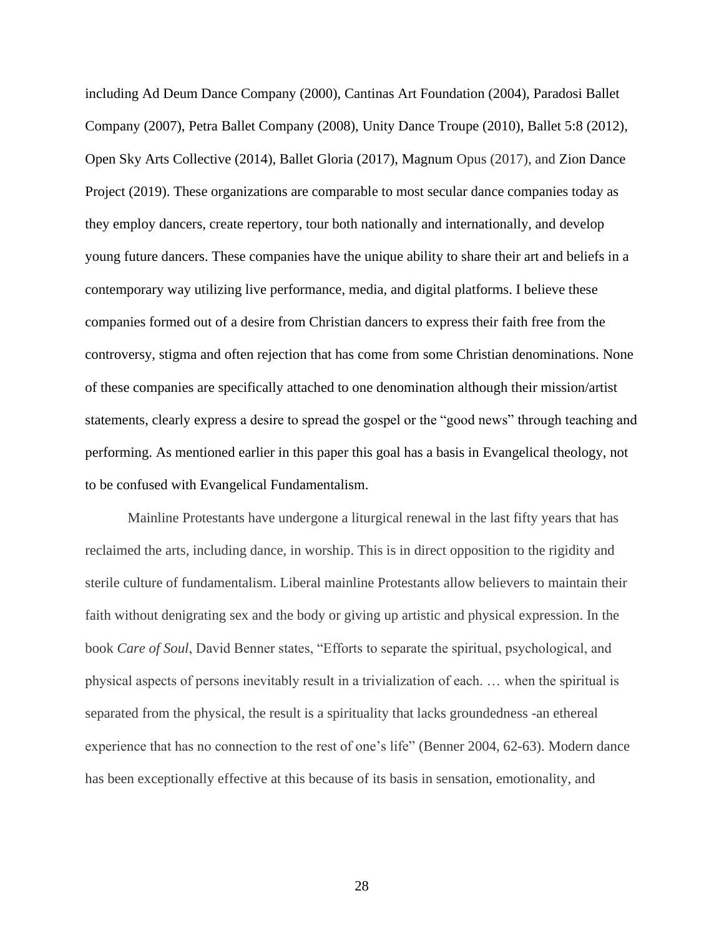including Ad Deum Dance Company (2000), Cantinas Art Foundation (2004), Paradosi Ballet Company (2007), Petra Ballet Company (2008), Unity Dance Troupe (2010), Ballet 5:8 (2012), Open Sky Arts Collective (2014), Ballet Gloria (2017), Magnum Opus (2017), and Zion Dance Project (2019). These organizations are comparable to most secular dance companies today as they employ dancers, create repertory, tour both nationally and internationally, and develop young future dancers. These companies have the unique ability to share their art and beliefs in a contemporary way utilizing live performance, media, and digital platforms. I believe these companies formed out of a desire from Christian dancers to express their faith free from the controversy, stigma and often rejection that has come from some Christian denominations. None of these companies are specifically attached to one denomination although their mission/artist statements, clearly express a desire to spread the gospel or the "good news" through teaching and performing. As mentioned earlier in this paper this goal has a basis in Evangelical theology, not to be confused with Evangelical Fundamentalism.

Mainline Protestants have undergone a liturgical renewal in the last fifty years that has reclaimed the arts, including dance, in worship. This is in direct opposition to the rigidity and sterile culture of fundamentalism. Liberal mainline Protestants allow believers to maintain their faith without denigrating sex and the body or giving up artistic and physical expression. In the book *Care of Soul*, David Benner states, "Efforts to separate the spiritual, psychological, and physical aspects of persons inevitably result in a trivialization of each. … when the spiritual is separated from the physical, the result is a spirituality that lacks groundedness -an ethereal experience that has no connection to the rest of one's life" (Benner 2004, 62-63). Modern dance has been exceptionally effective at this because of its basis in sensation, emotionality, and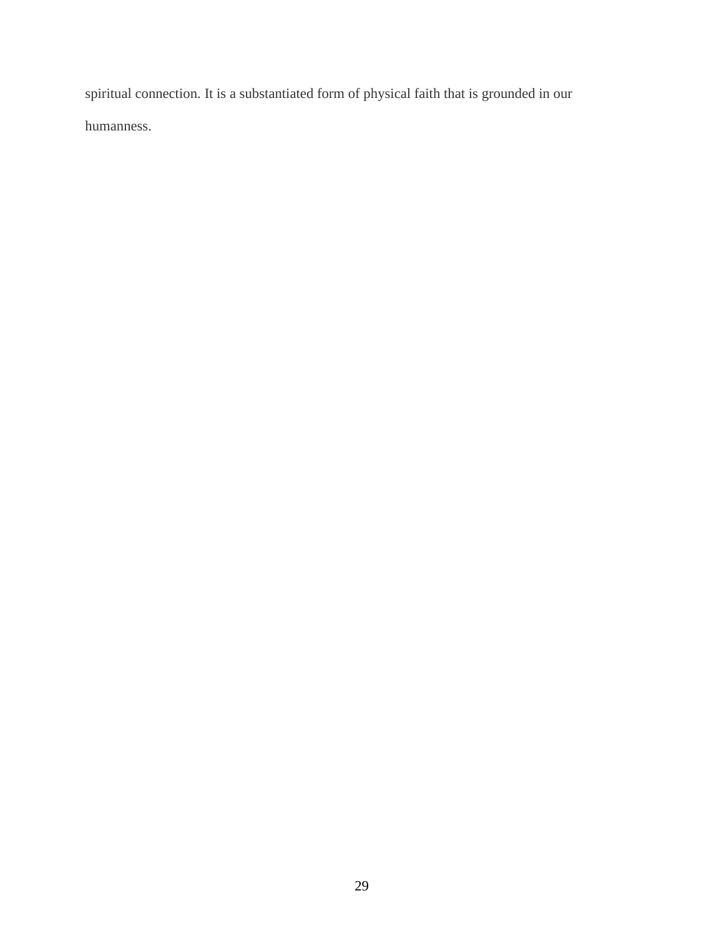spiritual connection. It is a substantiated form of physical faith that is grounded in our humanness.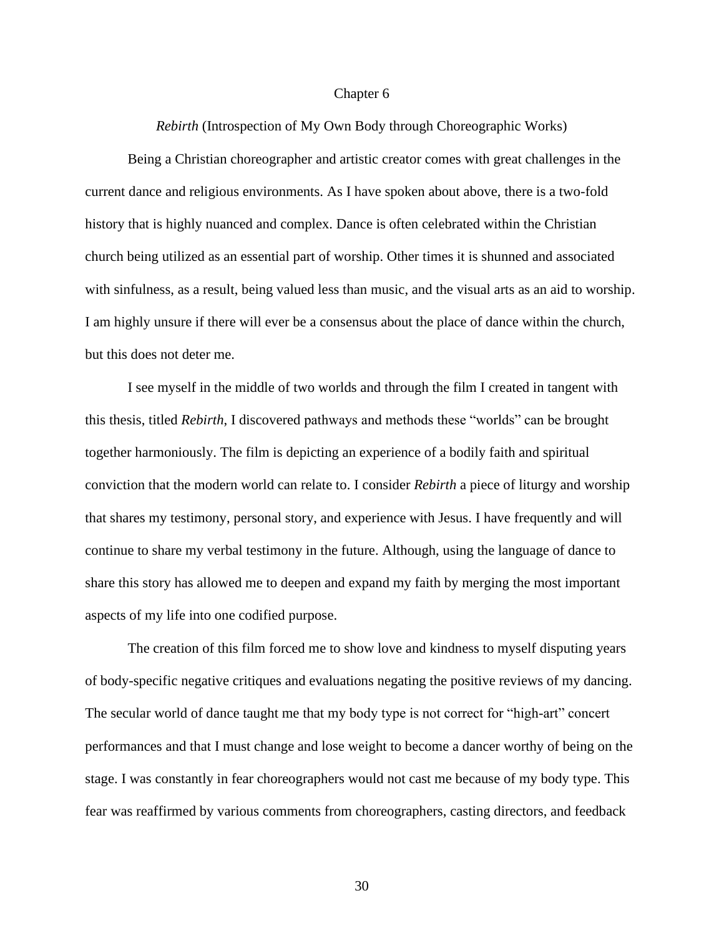#### Chapter 6

*Rebirth* (Introspection of My Own Body through Choreographic Works)

Being a Christian choreographer and artistic creator comes with great challenges in the current dance and religious environments. As I have spoken about above, there is a two-fold history that is highly nuanced and complex. Dance is often celebrated within the Christian church being utilized as an essential part of worship. Other times it is shunned and associated with sinfulness, as a result, being valued less than music, and the visual arts as an aid to worship. I am highly unsure if there will ever be a consensus about the place of dance within the church, but this does not deter me.

I see myself in the middle of two worlds and through the film I created in tangent with this thesis, titled *Rebirth*, I discovered pathways and methods these "worlds" can be brought together harmoniously. The film is depicting an experience of a bodily faith and spiritual conviction that the modern world can relate to. I consider *Rebirth* a piece of liturgy and worship that shares my testimony, personal story, and experience with Jesus. I have frequently and will continue to share my verbal testimony in the future. Although, using the language of dance to share this story has allowed me to deepen and expand my faith by merging the most important aspects of my life into one codified purpose.

The creation of this film forced me to show love and kindness to myself disputing years of body-specific negative critiques and evaluations negating the positive reviews of my dancing. The secular world of dance taught me that my body type is not correct for "high-art" concert performances and that I must change and lose weight to become a dancer worthy of being on the stage. I was constantly in fear choreographers would not cast me because of my body type. This fear was reaffirmed by various comments from choreographers, casting directors, and feedback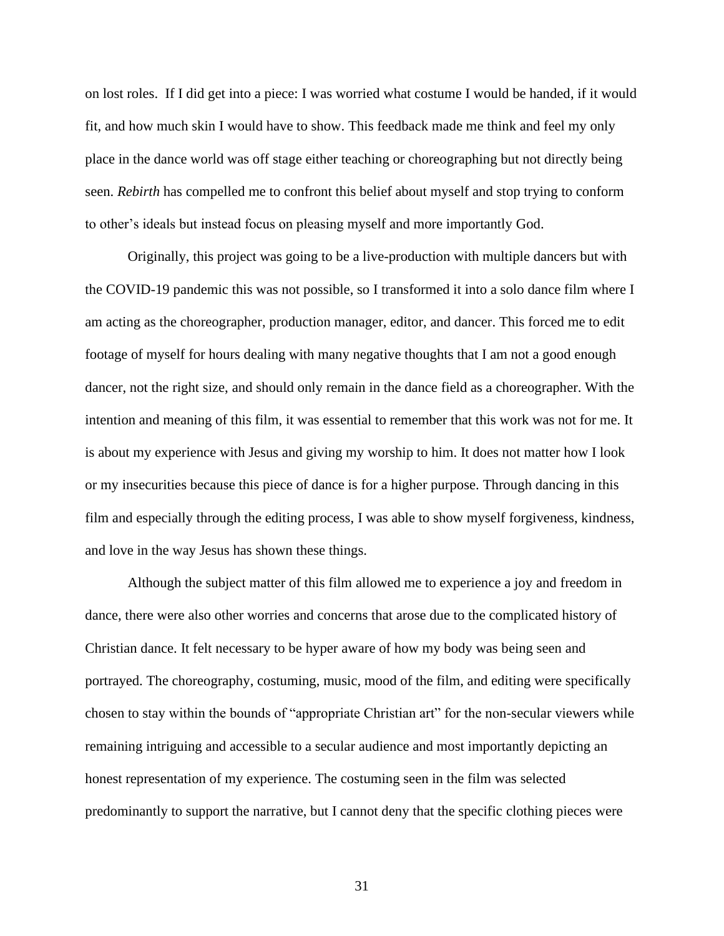on lost roles. If I did get into a piece: I was worried what costume I would be handed, if it would fit, and how much skin I would have to show. This feedback made me think and feel my only place in the dance world was off stage either teaching or choreographing but not directly being seen. *Rebirth* has compelled me to confront this belief about myself and stop trying to conform to other's ideals but instead focus on pleasing myself and more importantly God.

Originally, this project was going to be a live-production with multiple dancers but with the COVID-19 pandemic this was not possible, so I transformed it into a solo dance film where I am acting as the choreographer, production manager, editor, and dancer. This forced me to edit footage of myself for hours dealing with many negative thoughts that I am not a good enough dancer, not the right size, and should only remain in the dance field as a choreographer. With the intention and meaning of this film, it was essential to remember that this work was not for me. It is about my experience with Jesus and giving my worship to him. It does not matter how I look or my insecurities because this piece of dance is for a higher purpose. Through dancing in this film and especially through the editing process, I was able to show myself forgiveness, kindness, and love in the way Jesus has shown these things.

Although the subject matter of this film allowed me to experience a joy and freedom in dance, there were also other worries and concerns that arose due to the complicated history of Christian dance. It felt necessary to be hyper aware of how my body was being seen and portrayed. The choreography, costuming, music, mood of the film, and editing were specifically chosen to stay within the bounds of "appropriate Christian art" for the non-secular viewers while remaining intriguing and accessible to a secular audience and most importantly depicting an honest representation of my experience. The costuming seen in the film was selected predominantly to support the narrative, but I cannot deny that the specific clothing pieces were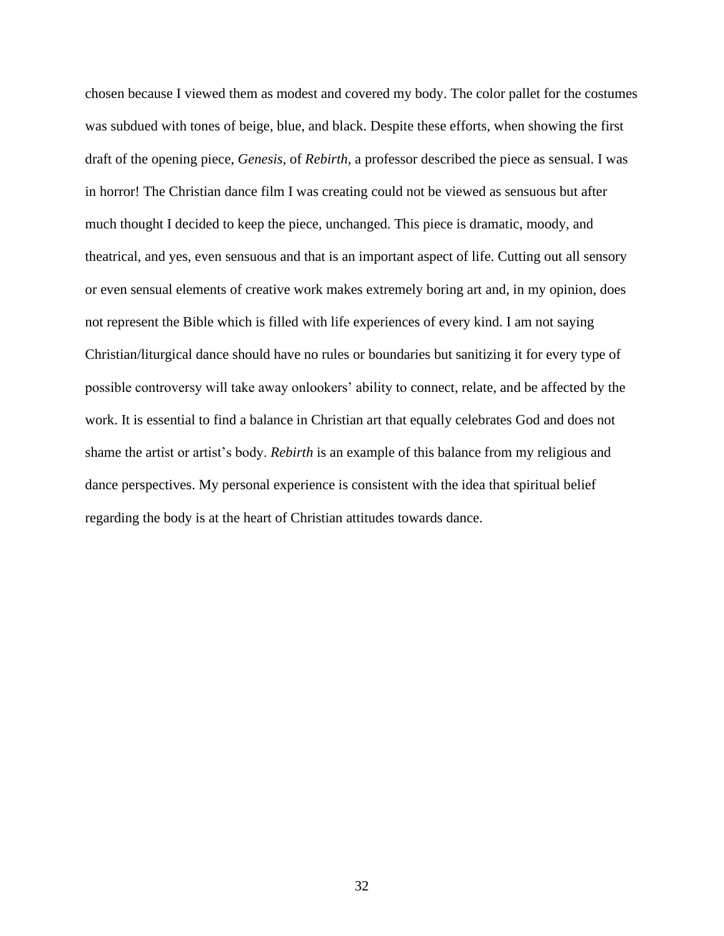chosen because I viewed them as modest and covered my body. The color pallet for the costumes was subdued with tones of beige, blue, and black. Despite these efforts, when showing the first draft of the opening piece, *Genesis*, of *Rebirth*, a professor described the piece as sensual. I was in horror! The Christian dance film I was creating could not be viewed as sensuous but after much thought I decided to keep the piece, unchanged. This piece is dramatic, moody, and theatrical, and yes, even sensuous and that is an important aspect of life. Cutting out all sensory or even sensual elements of creative work makes extremely boring art and, in my opinion, does not represent the Bible which is filled with life experiences of every kind. I am not saying Christian/liturgical dance should have no rules or boundaries but sanitizing it for every type of possible controversy will take away onlookers' ability to connect, relate, and be affected by the work. It is essential to find a balance in Christian art that equally celebrates God and does not shame the artist or artist's body. *Rebirth* is an example of this balance from my religious and dance perspectives. My personal experience is consistent with the idea that spiritual belief regarding the body is at the heart of Christian attitudes towards dance.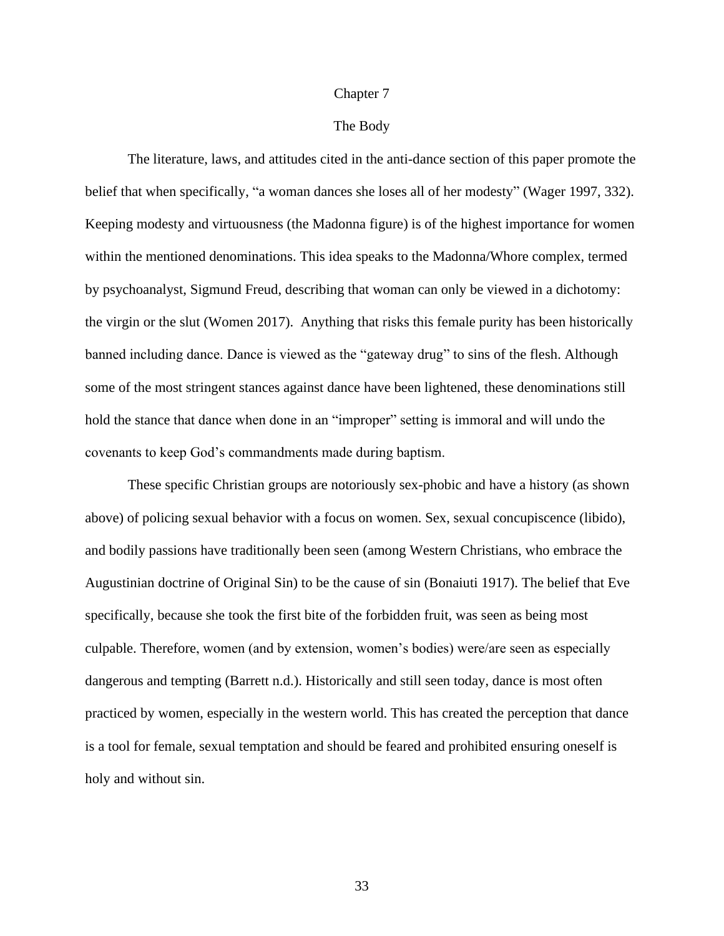#### Chapter 7

## The Body

The literature, laws, and attitudes cited in the anti-dance section of this paper promote the belief that when specifically, "a woman dances she loses all of her modesty" (Wager 1997, 332). Keeping modesty and virtuousness (the Madonna figure) is of the highest importance for women within the mentioned denominations. This idea speaks to the Madonna/Whore complex, termed by psychoanalyst, Sigmund Freud, describing that woman can only be viewed in a dichotomy: the virgin or the slut (Women 2017). Anything that risks this female purity has been historically banned including dance. Dance is viewed as the "gateway drug" to sins of the flesh. Although some of the most stringent stances against dance have been lightened, these denominations still hold the stance that dance when done in an "improper" setting is immoral and will undo the covenants to keep God's commandments made during baptism.

These specific Christian groups are notoriously sex-phobic and have a history (as shown above) of policing sexual behavior with a focus on women. Sex, sexual concupiscence (libido), and bodily passions have traditionally been seen (among Western Christians, who embrace the Augustinian doctrine of Original Sin) to be the cause of sin (Bonaiuti 1917). The belief that Eve specifically, because she took the first bite of the forbidden fruit, was seen as being most culpable. Therefore, women (and by extension, women's bodies) were/are seen as especially dangerous and tempting (Barrett n.d.). Historically and still seen today, dance is most often practiced by women, especially in the western world. This has created the perception that dance is a tool for female, sexual temptation and should be feared and prohibited ensuring oneself is holy and without sin.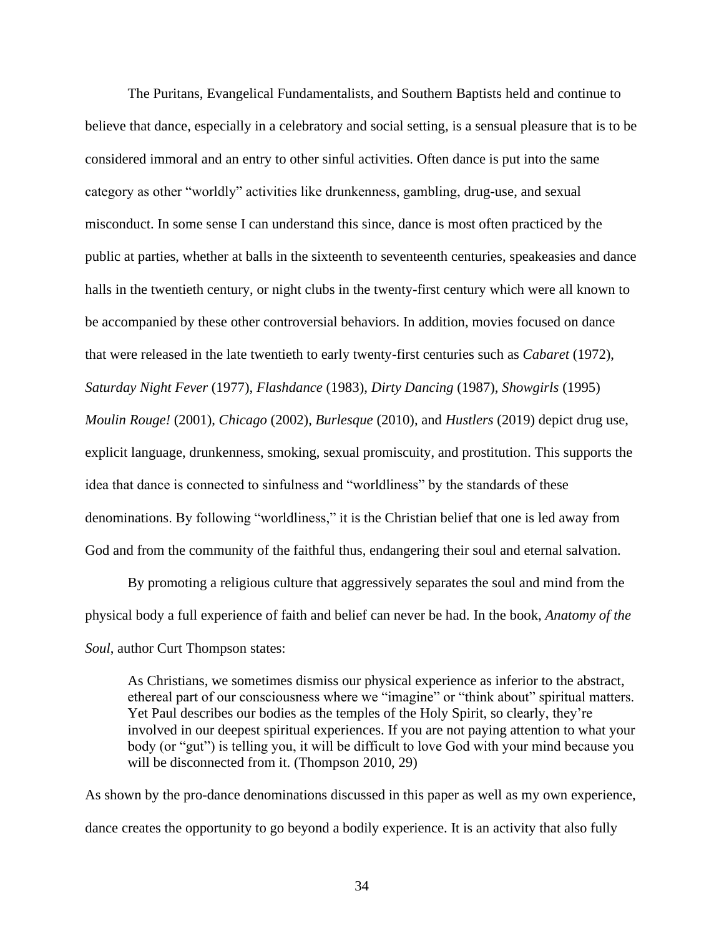The Puritans, Evangelical Fundamentalists, and Southern Baptists held and continue to believe that dance, especially in a celebratory and social setting, is a sensual pleasure that is to be considered immoral and an entry to other sinful activities. Often dance is put into the same category as other "worldly" activities like drunkenness, gambling, drug-use, and sexual misconduct. In some sense I can understand this since, dance is most often practiced by the public at parties, whether at balls in the sixteenth to seventeenth centuries, speakeasies and dance halls in the twentieth century, or night clubs in the twenty-first century which were all known to be accompanied by these other controversial behaviors. In addition, movies focused on dance that were released in the late twentieth to early twenty-first centuries such as *Cabaret* (1972), *Saturday Night Fever* (1977), *Flashdance* (1983), *Dirty Dancing* (1987), *Showgirls* (1995) *Moulin Rouge!* (2001), *Chicago* (2002), *Burlesque* (2010), and *Hustlers* (2019) depict drug use, explicit language, drunkenness, smoking, sexual promiscuity, and prostitution. This supports the idea that dance is connected to sinfulness and "worldliness" by the standards of these denominations. By following "worldliness," it is the Christian belief that one is led away from God and from the community of the faithful thus, endangering their soul and eternal salvation.

By promoting a religious culture that aggressively separates the soul and mind from the physical body a full experience of faith and belief can never be had. In the book, *Anatomy of the Soul*, author Curt Thompson states:

As Christians, we sometimes dismiss our physical experience as inferior to the abstract, ethereal part of our consciousness where we "imagine" or "think about" spiritual matters. Yet Paul describes our bodies as the temples of the Holy Spirit, so clearly, they're involved in our deepest spiritual experiences. If you are not paying attention to what your body (or "gut") is telling you, it will be difficult to love God with your mind because you will be disconnected from it. (Thompson 2010, 29)

As shown by the pro-dance denominations discussed in this paper as well as my own experience, dance creates the opportunity to go beyond a bodily experience. It is an activity that also fully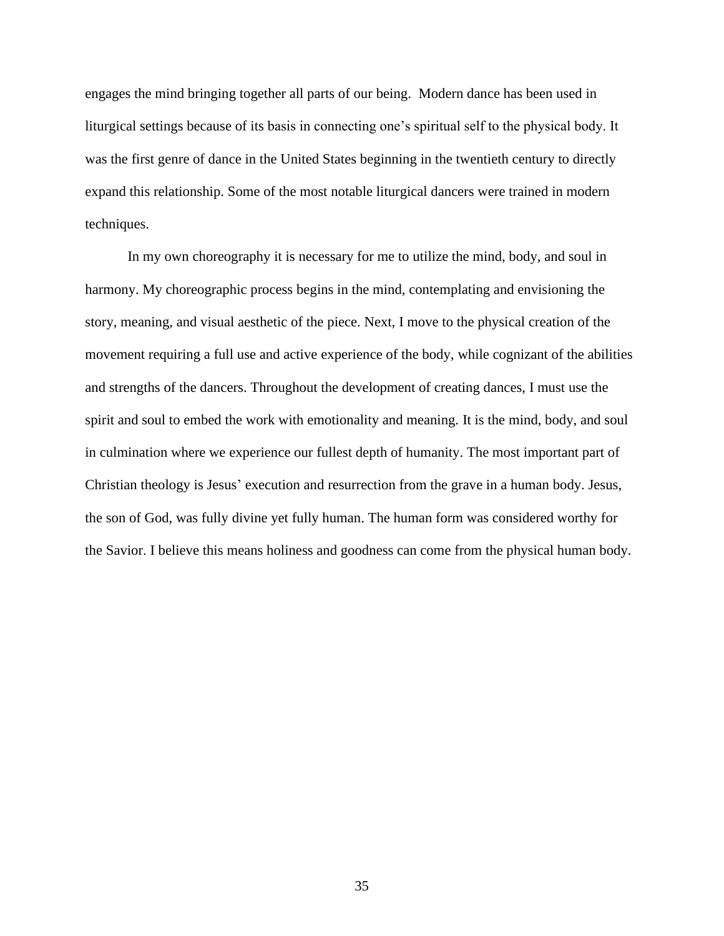engages the mind bringing together all parts of our being. Modern dance has been used in liturgical settings because of its basis in connecting one's spiritual self to the physical body. It was the first genre of dance in the United States beginning in the twentieth century to directly expand this relationship. Some of the most notable liturgical dancers were trained in modern techniques.

In my own choreography it is necessary for me to utilize the mind, body, and soul in harmony. My choreographic process begins in the mind, contemplating and envisioning the story, meaning, and visual aesthetic of the piece. Next, I move to the physical creation of the movement requiring a full use and active experience of the body, while cognizant of the abilities and strengths of the dancers. Throughout the development of creating dances, I must use the spirit and soul to embed the work with emotionality and meaning. It is the mind, body, and soul in culmination where we experience our fullest depth of humanity. The most important part of Christian theology is Jesus' execution and resurrection from the grave in a human body. Jesus, the son of God, was fully divine yet fully human. The human form was considered worthy for the Savior. I believe this means holiness and goodness can come from the physical human body.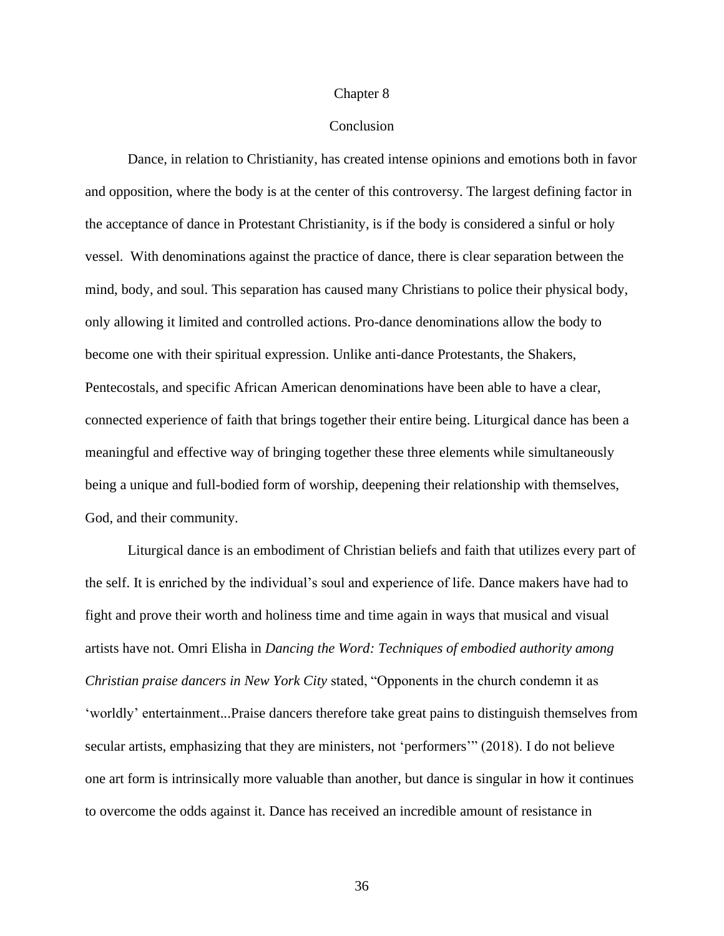#### Chapter 8

## Conclusion

Dance, in relation to Christianity, has created intense opinions and emotions both in favor and opposition, where the body is at the center of this controversy. The largest defining factor in the acceptance of dance in Protestant Christianity, is if the body is considered a sinful or holy vessel. With denominations against the practice of dance, there is clear separation between the mind, body, and soul. This separation has caused many Christians to police their physical body, only allowing it limited and controlled actions. Pro-dance denominations allow the body to become one with their spiritual expression. Unlike anti-dance Protestants, the Shakers, Pentecostals, and specific African American denominations have been able to have a clear, connected experience of faith that brings together their entire being. Liturgical dance has been a meaningful and effective way of bringing together these three elements while simultaneously being a unique and full-bodied form of worship, deepening their relationship with themselves, God, and their community.

Liturgical dance is an embodiment of Christian beliefs and faith that utilizes every part of the self. It is enriched by the individual's soul and experience of life. Dance makers have had to fight and prove their worth and holiness time and time again in ways that musical and visual artists have not. Omri Elisha in *Dancing the Word: Techniques of embodied authority among Christian praise dancers in New York City* stated, "Opponents in the church condemn it as 'worldly' entertainment...Praise dancers therefore take great pains to distinguish themselves from secular artists, emphasizing that they are ministers, not 'performers'" (2018). I do not believe one art form is intrinsically more valuable than another, but dance is singular in how it continues to overcome the odds against it. Dance has received an incredible amount of resistance in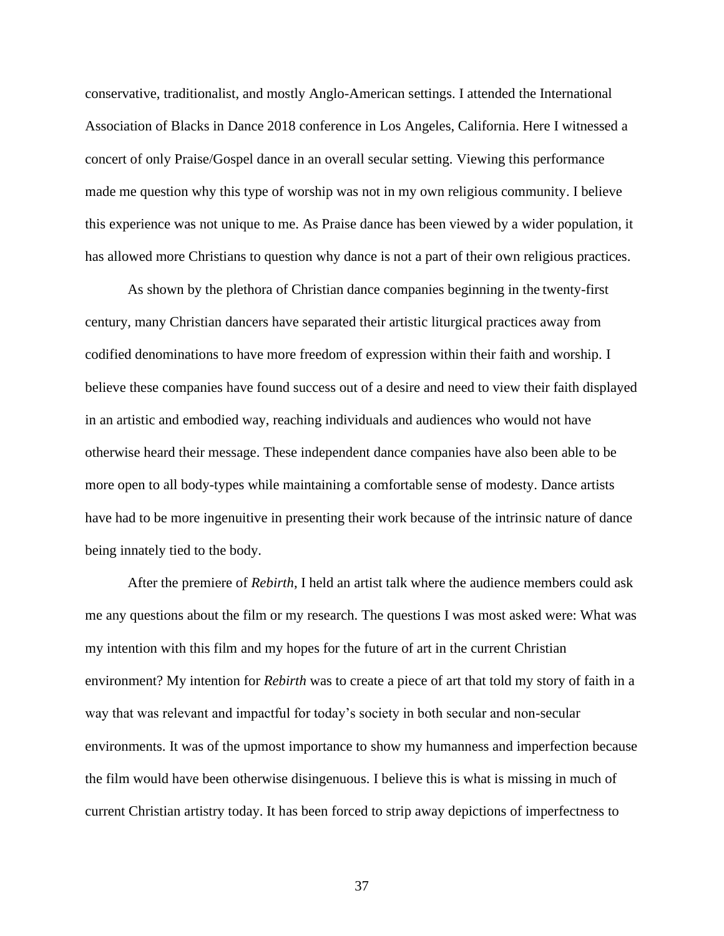conservative, traditionalist, and mostly Anglo-American settings. I attended the International Association of Blacks in Dance 2018 conference in Los Angeles, California. Here I witnessed a concert of only Praise/Gospel dance in an overall secular setting. Viewing this performance made me question why this type of worship was not in my own religious community. I believe this experience was not unique to me. As Praise dance has been viewed by a wider population, it has allowed more Christians to question why dance is not a part of their own religious practices.

As shown by the plethora of Christian dance companies beginning in the twenty-first century, many Christian dancers have separated their artistic liturgical practices away from codified denominations to have more freedom of expression within their faith and worship. I believe these companies have found success out of a desire and need to view their faith displayed in an artistic and embodied way, reaching individuals and audiences who would not have otherwise heard their message. These independent dance companies have also been able to be more open to all body-types while maintaining a comfortable sense of modesty. Dance artists have had to be more ingenuitive in presenting their work because of the intrinsic nature of dance being innately tied to the body.

After the premiere of *Rebirth*, I held an artist talk where the audience members could ask me any questions about the film or my research. The questions I was most asked were: What was my intention with this film and my hopes for the future of art in the current Christian environment? My intention for *Rebirth* was to create a piece of art that told my story of faith in a way that was relevant and impactful for today's society in both secular and non-secular environments. It was of the upmost importance to show my humanness and imperfection because the film would have been otherwise disingenuous. I believe this is what is missing in much of current Christian artistry today. It has been forced to strip away depictions of imperfectness to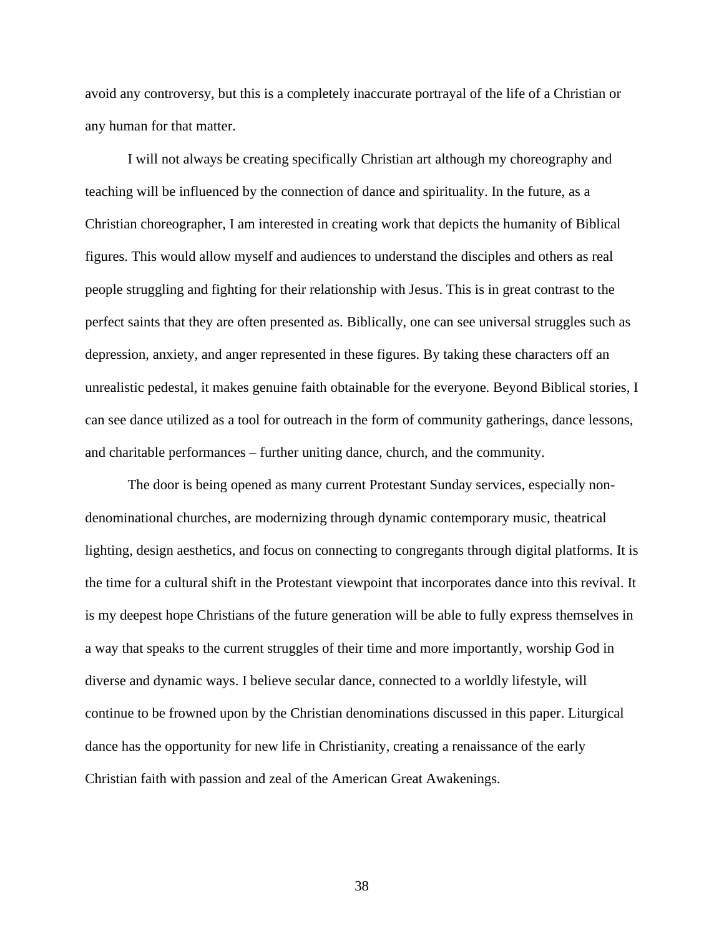avoid any controversy, but this is a completely inaccurate portrayal of the life of a Christian or any human for that matter.

I will not always be creating specifically Christian art although my choreography and teaching will be influenced by the connection of dance and spirituality. In the future, as a Christian choreographer, I am interested in creating work that depicts the humanity of Biblical figures. This would allow myself and audiences to understand the disciples and others as real people struggling and fighting for their relationship with Jesus. This is in great contrast to the perfect saints that they are often presented as. Biblically, one can see universal struggles such as depression, anxiety, and anger represented in these figures. By taking these characters off an unrealistic pedestal, it makes genuine faith obtainable for the everyone. Beyond Biblical stories, I can see dance utilized as a tool for outreach in the form of community gatherings, dance lessons, and charitable performances – further uniting dance, church, and the community.

The door is being opened as many current Protestant Sunday services, especially nondenominational churches, are modernizing through dynamic contemporary music, theatrical lighting, design aesthetics, and focus on connecting to congregants through digital platforms. It is the time for a cultural shift in the Protestant viewpoint that incorporates dance into this revival. It is my deepest hope Christians of the future generation will be able to fully express themselves in a way that speaks to the current struggles of their time and more importantly, worship God in diverse and dynamic ways. I believe secular dance, connected to a worldly lifestyle, will continue to be frowned upon by the Christian denominations discussed in this paper. Liturgical dance has the opportunity for new life in Christianity, creating a renaissance of the early Christian faith with passion and zeal of the American Great Awakenings.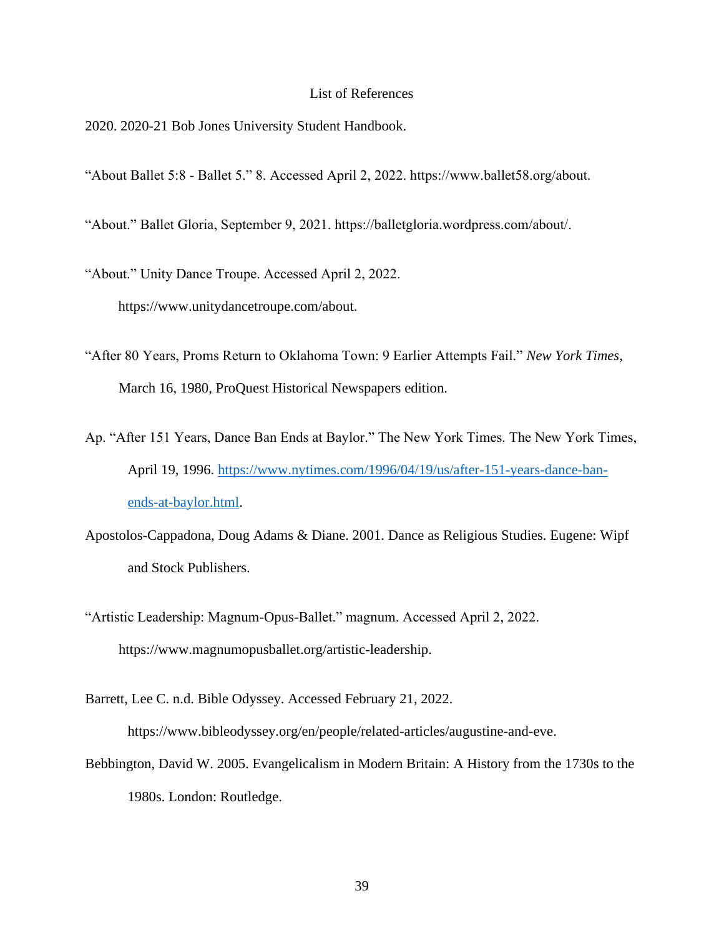# List of References

- 2020. 2020-21 Bob Jones University Student Handbook.
- "About Ballet 5:8 Ballet 5." 8. Accessed April 2, 2022. https://www.ballet58.org/about.
- "About." Ballet Gloria, September 9, 2021. https://balletgloria.wordpress.com/about/.
- "About." Unity Dance Troupe. Accessed April 2, 2022. https://www.unitydancetroupe.com/about.
- "After 80 Years, Proms Return to Oklahoma Town: 9 Earlier Attempts Fail." *New York Times*, March 16, 1980, ProQuest Historical Newspapers edition.
- Ap. "After 151 Years, Dance Ban Ends at Baylor." The New York Times. The New York Times, April 19, 1996. [https://www.nytimes.com/1996/04/19/us/after-151-years-dance-ban](https://www.nytimes.com/1996/04/19/us/after-151-years-dance-ban-ends-at-baylor.html)[ends-at-baylor.html.](https://www.nytimes.com/1996/04/19/us/after-151-years-dance-ban-ends-at-baylor.html)
- Apostolos-Cappadona, Doug Adams & Diane. 2001. Dance as Religious Studies. Eugene: Wipf and Stock Publishers.
- "Artistic Leadership: Magnum-Opus-Ballet." magnum. Accessed April 2, 2022. https://www.magnumopusballet.org/artistic-leadership.
- Barrett, Lee C. n.d. Bible Odyssey. Accessed February 21, 2022. https://www.bibleodyssey.org/en/people/related-articles/augustine-and-eve.
- Bebbington, David W. 2005. Evangelicalism in Modern Britain: A History from the 1730s to the 1980s. London: Routledge.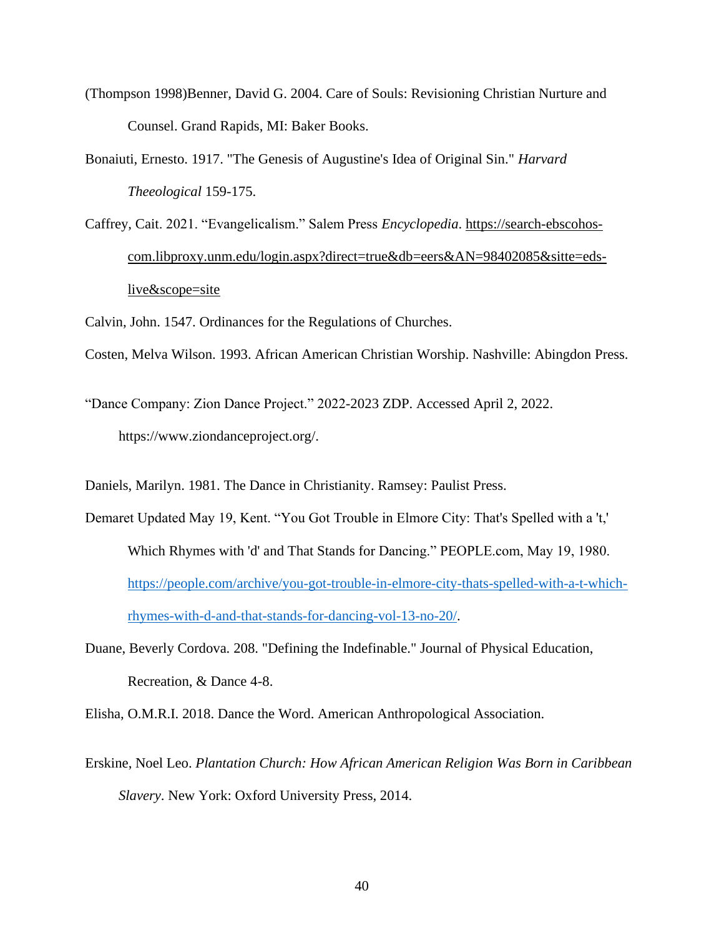- (Thompson 1998)Benner, David G. 2004. Care of Souls: Revisioning Christian Nurture and Counsel. Grand Rapids, MI: Baker Books.
- Bonaiuti, Ernesto. 1917. "The Genesis of Augustine's Idea of Original Sin." *Harvard Theeological* 159-175.
- Caffrey, Cait. 2021. "Evangelicalism." Salem Press *Encyclopedia*. [https://search-ebscohos](https://search-ebscohos-com.libproxy.unm.edu/login.aspx?direct=true&db=eers&AN=98402085&sitte=eds-live&scope=site)[com.libproxy.unm.edu/login.aspx?direct=true&db=eers&AN=98402085&sitte=eds](https://search-ebscohos-com.libproxy.unm.edu/login.aspx?direct=true&db=eers&AN=98402085&sitte=eds-live&scope=site)[live&scope=site](https://search-ebscohos-com.libproxy.unm.edu/login.aspx?direct=true&db=eers&AN=98402085&sitte=eds-live&scope=site)
- Calvin, John. 1547. Ordinances for the Regulations of Churches.
- Costen, Melva Wilson. 1993. African American Christian Worship. Nashville: Abingdon Press.
- "Dance Company: Zion Dance Project." 2022-2023 ZDP. Accessed April 2, 2022. https://www.ziondanceproject.org/.
- Daniels, Marilyn. 1981. The Dance in Christianity. Ramsey: Paulist Press.
- Demaret Updated May 19, Kent. "You Got Trouble in Elmore City: That's Spelled with a 't,' Which Rhymes with 'd' and That Stands for Dancing." PEOPLE.com, May 19, 1980. [https://people.com/archive/you-got-trouble-in-elmore-city-thats-spelled-with-a-t-which](https://people.com/archive/you-got-trouble-in-elmore-city-thats-spelled-with-a-t-which-rhymes-with-d-and-that-stands-for-dancing-vol-13-no-20/)[rhymes-with-d-and-that-stands-for-dancing-vol-13-no-20/.](https://people.com/archive/you-got-trouble-in-elmore-city-thats-spelled-with-a-t-which-rhymes-with-d-and-that-stands-for-dancing-vol-13-no-20/)
- Duane, Beverly Cordova. 208. "Defining the Indefinable." Journal of Physical Education, Recreation, & Dance 4-8.
- Elisha, O.M.R.I. 2018. Dance the Word. American Anthropological Association.
- Erskine, Noel Leo. *Plantation Church: How African American Religion Was Born in Caribbean Slavery*. New York: Oxford University Press, 2014.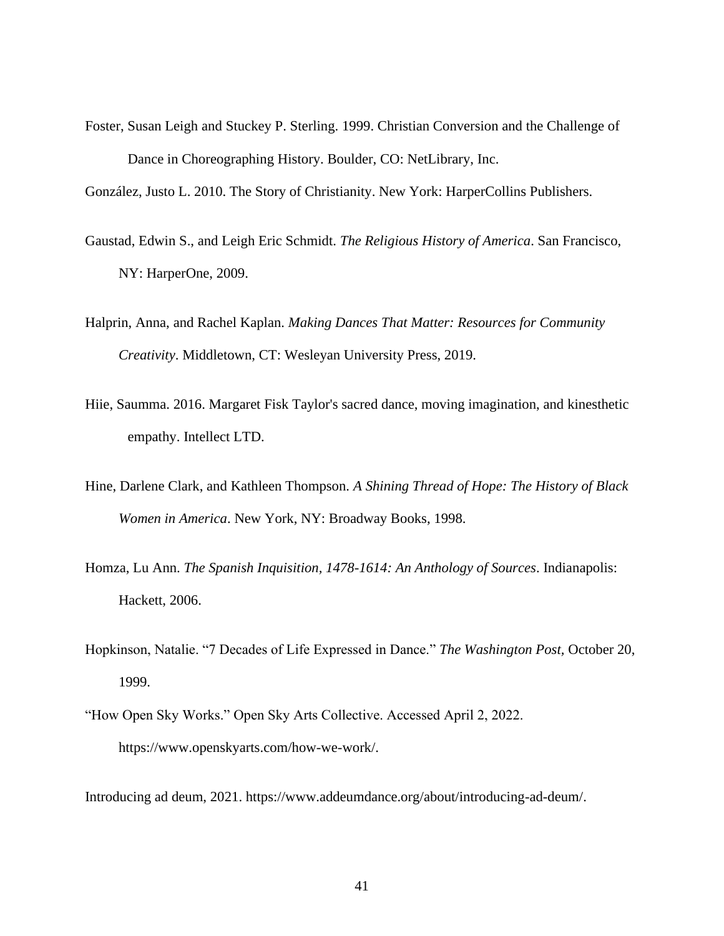Foster, Susan Leigh and Stuckey P. Sterling. 1999. Christian Conversion and the Challenge of Dance in Choreographing History. Boulder, CO: NetLibrary, Inc.

González, Justo L. 2010. The Story of Christianity. New York: HarperCollins Publishers.

- Gaustad, Edwin S., and Leigh Eric Schmidt. *The Religious History of America*. San Francisco, NY: HarperOne, 2009.
- Halprin, Anna, and Rachel Kaplan. *Making Dances That Matter: Resources for Community Creativity*. Middletown, CT: Wesleyan University Press, 2019.
- Hiie, Saumma. 2016. Margaret Fisk Taylor's sacred dance, moving imagination, and kinesthetic empathy. Intellect LTD.
- Hine, Darlene Clark, and Kathleen Thompson. *A Shining Thread of Hope: The History of Black Women in America*. New York, NY: Broadway Books, 1998.
- Homza, Lu Ann. *The Spanish Inquisition, 1478-1614: An Anthology of Sources*. Indianapolis: Hackett, 2006.
- Hopkinson, Natalie. "7 Decades of Life Expressed in Dance." *The Washington Post,* October 20, 1999.
- "How Open Sky Works." Open Sky Arts Collective. Accessed April 2, 2022. https://www.openskyarts.com/how-we-work/.

Introducing ad deum, 2021. https://www.addeumdance.org/about/introducing-ad-deum/.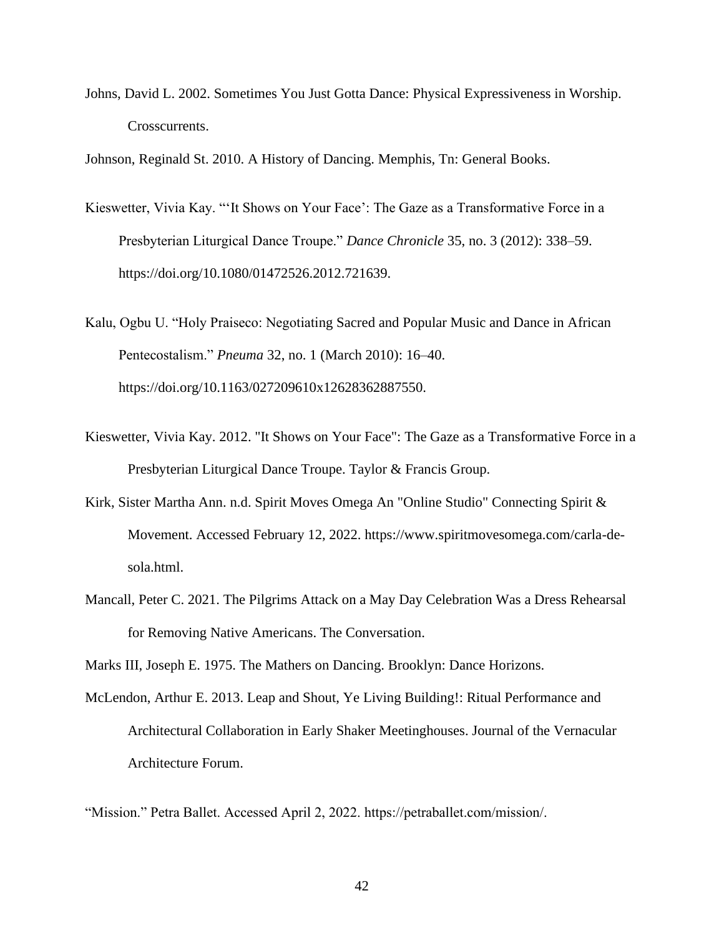Johns, David L. 2002. Sometimes You Just Gotta Dance: Physical Expressiveness in Worship. Crosscurrents.

Johnson, Reginald St. 2010. A History of Dancing. Memphis, Tn: General Books.

Kieswetter, Vivia Kay. "'It Shows on Your Face': The Gaze as a Transformative Force in a Presbyterian Liturgical Dance Troupe." *Dance Chronicle* 35, no. 3 (2012): 338–59. https://doi.org/10.1080/01472526.2012.721639.

Kalu, Ogbu U. "Holy Praiseco: Negotiating Sacred and Popular Music and Dance in African Pentecostalism." *Pneuma* 32, no. 1 (March 2010): 16–40. https://doi.org/10.1163/027209610x12628362887550.

- Kieswetter, Vivia Kay. 2012. "It Shows on Your Face": The Gaze as a Transformative Force in a Presbyterian Liturgical Dance Troupe. Taylor & Francis Group.
- Kirk, Sister Martha Ann. n.d. Spirit Moves Omega An "Online Studio" Connecting Spirit & Movement. Accessed February 12, 2022. https://www.spiritmovesomega.com/carla-desola.html.
- Mancall, Peter C. 2021. The Pilgrims Attack on a May Day Celebration Was a Dress Rehearsal for Removing Native Americans. The Conversation.

Marks III, Joseph E. 1975. The Mathers on Dancing. Brooklyn: Dance Horizons.

McLendon, Arthur E. 2013. Leap and Shout, Ye Living Building!: Ritual Performance and Architectural Collaboration in Early Shaker Meetinghouses. Journal of the Vernacular Architecture Forum.

"Mission." Petra Ballet. Accessed April 2, 2022. https://petraballet.com/mission/.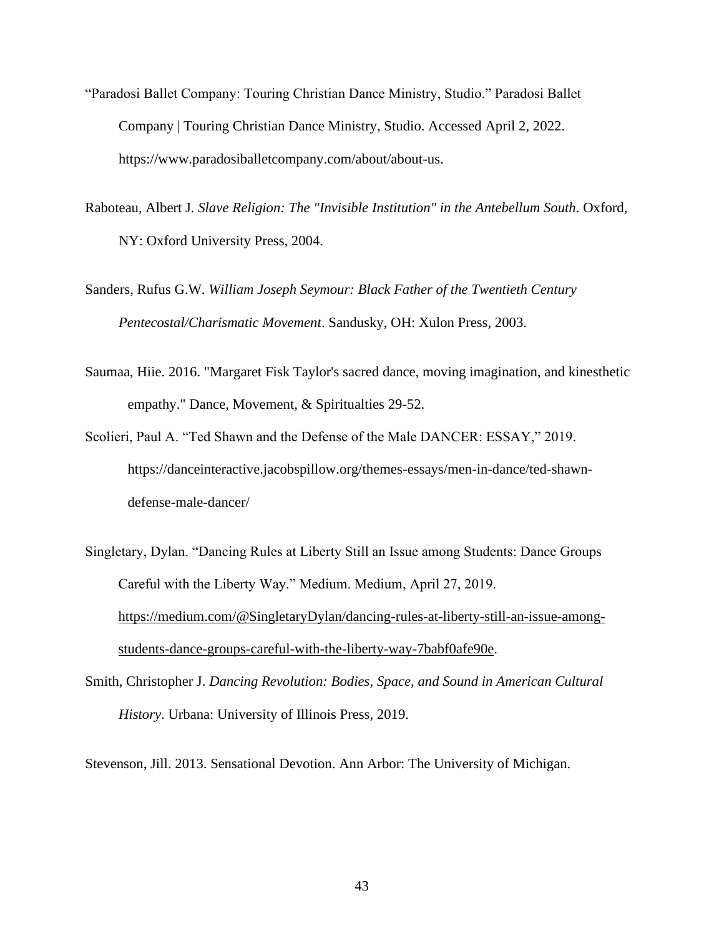- "Paradosi Ballet Company: Touring Christian Dance Ministry, Studio." Paradosi Ballet Company | Touring Christian Dance Ministry, Studio. Accessed April 2, 2022. https://www.paradosiballetcompany.com/about/about-us.
- Raboteau, Albert J. *Slave Religion: The "Invisible Institution" in the Antebellum South*. Oxford, NY: Oxford University Press, 2004.
- Sanders, Rufus G.W. *William Joseph Seymour: Black Father of the Twentieth Century Pentecostal/Charismatic Movement*. Sandusky, OH: Xulon Press, 2003.
- Saumaa, Hiie. 2016. "Margaret Fisk Taylor's sacred dance, moving imagination, and kinesthetic empathy." Dance, Movement, & Spiritualties 29-52.
- Scolieri, Paul A. "Ted Shawn and the Defense of the Male DANCER: ESSAY," 2019. https://danceinteractive.jacobspillow.org/themes-essays/men-in-dance/ted-shawndefense-male-dancer/
- Singletary, Dylan. "Dancing Rules at Liberty Still an Issue among Students: Dance Groups Careful with the Liberty Way." Medium. Medium, April 27, 2019. [https://medium.com/@SingletaryDylan/dancing-rules-at-liberty-still-an-issue-among](https://medium.com/@SingletaryDylan/dancing-rules-at-liberty-still-an-issue-among-students-dance-groups-careful-with-the-liberty-way-7babf0afe90e)[students-dance-groups-careful-with-the-liberty-way-7babf0afe90e.](https://medium.com/@SingletaryDylan/dancing-rules-at-liberty-still-an-issue-among-students-dance-groups-careful-with-the-liberty-way-7babf0afe90e)
- Smith, Christopher J. *Dancing Revolution: Bodies, Space, and Sound in American Cultural History*. Urbana: University of Illinois Press, 2019.

Stevenson, Jill. 2013. Sensational Devotion. Ann Arbor: The University of Michigan.